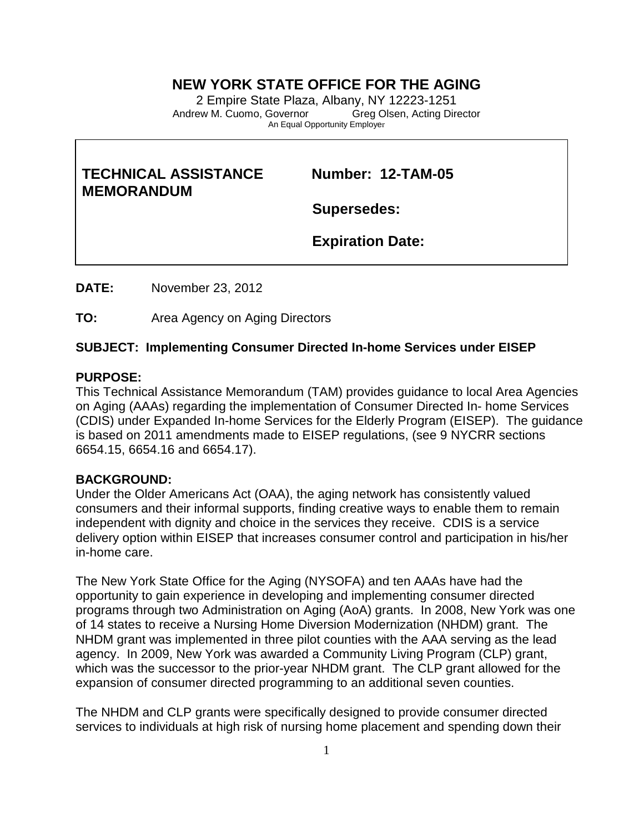# **NEW YORK STATE OFFICE FOR THE AGING**

2 Empire State Plaza, Albany, NY 12223-1251 Andrew M. Cuomo, Governor Greg Olsen, Acting Director An Equal Opportunity Employer

# **TECHNICAL ASSISTANCE Number: 12-TAM-05 MEMORANDUM**

**Supersedes:**

 **Expiration Date:**

**DATE:** November 23, 2012

**TO:** Area Agency on Aging Directors

## **SUBJECT: Implementing Consumer Directed In-home Services under EISEP**

## **PURPOSE:**

This Technical Assistance Memorandum (TAM) provides guidance to local Area Agencies on Aging (AAAs) regarding the implementation of Consumer Directed In- home Services (CDIS) under Expanded In-home Services for the Elderly Program (EISEP). The guidance is based on 2011 amendments made to EISEP regulations, (see 9 NYCRR sections 6654.15, 6654.16 and 6654.17).

## **BACKGROUND:**

Under the Older Americans Act (OAA), the aging network has consistently valued consumers and their informal supports, finding creative ways to enable them to remain independent with dignity and choice in the services they receive. CDIS is a service delivery option within EISEP that increases consumer control and participation in his/her in-home care.

The New York State Office for the Aging (NYSOFA) and ten AAAs have had the opportunity to gain experience in developing and implementing consumer directed programs through two Administration on Aging (AoA) grants. In 2008, New York was one of 14 states to receive a Nursing Home Diversion Modernization (NHDM) grant. The NHDM grant was implemented in three pilot counties with the AAA serving as the lead agency. In 2009, New York was awarded a Community Living Program (CLP) grant, which was the successor to the prior-year NHDM grant. The CLP grant allowed for the expansion of consumer directed programming to an additional seven counties.

The NHDM and CLP grants were specifically designed to provide consumer directed services to individuals at high risk of nursing home placement and spending down their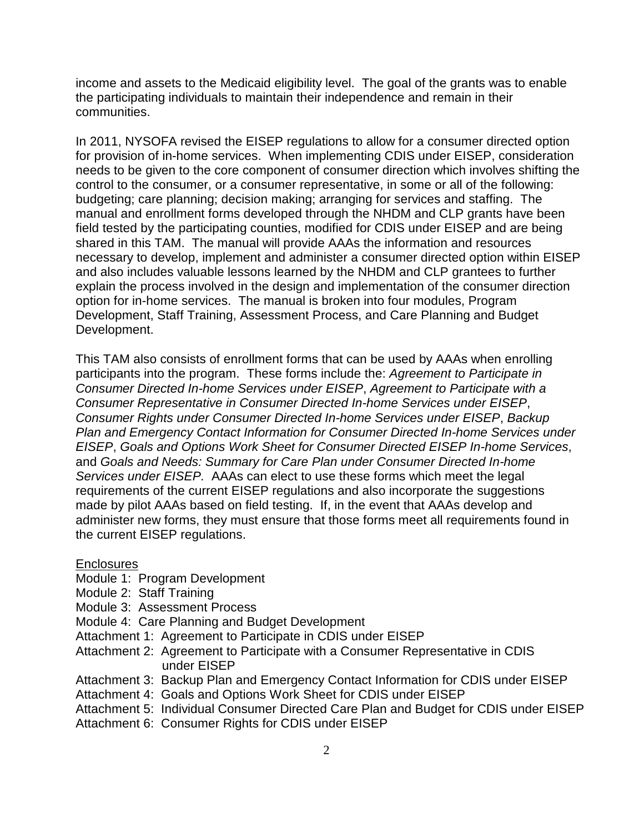income and assets to the Medicaid eligibility level. The goal of the grants was to enable the participating individuals to maintain their independence and remain in their communities.

In 2011, NYSOFA revised the EISEP regulations to allow for a consumer directed option for provision of in-home services. When implementing CDIS under EISEP, consideration needs to be given to the core component of consumer direction which involves shifting the control to the consumer, or a consumer representative, in some or all of the following: budgeting; care planning; decision making; arranging for services and staffing. The manual and enrollment forms developed through the NHDM and CLP grants have been field tested by the participating counties, modified for CDIS under EISEP and are being shared in this TAM. The manual will provide AAAs the information and resources necessary to develop, implement and administer a consumer directed option within EISEP and also includes valuable lessons learned by the NHDM and CLP grantees to further explain the process involved in the design and implementation of the consumer direction option for in-home services. The manual is broken into four modules, Program Development, Staff Training, Assessment Process, and Care Planning and Budget Development.

This TAM also consists of enrollment forms that can be used by AAAs when enrolling participants into the program. These forms include the: *Agreement to Participate in Consumer Directed In-home Services under EISEP*, *Agreement to Participate with a Consumer Representative in Consumer Directed In-home Services under EISEP*, *Consumer Rights under Consumer Directed In-home Services under EISEP*, *Backup Plan and Emergency Contact Information for Consumer Directed In-home Services under EISEP*, *Goals and Options Work Sheet for Consumer Directed EISEP In-home Services*, and *Goals and Needs: Summary for Care Plan under Consumer Directed In-home Services under EISEP.* AAAs can elect to use these forms which meet the legal requirements of the current EISEP regulations and also incorporate the suggestions made by pilot AAAs based on field testing. If, in the event that AAAs develop and administer new forms, they must ensure that those forms meet all requirements found in the current EISEP regulations.

#### **Enclosures**

- Module 1: Program Development
- Module 2: Staff Training
- Module 3: Assessment Process
- Module 4: Care Planning and Budget Development
- Attachment 1: Agreement to Participate in CDIS under EISEP
- Attachment 2: Agreement to Participate with a Consumer Representative in CDIS under EISEP
- Attachment 3: Backup Plan and Emergency Contact Information for CDIS under EISEP
- Attachment 4: Goals and Options Work Sheet for CDIS under EISEP

Attachment 5: Individual Consumer Directed Care Plan and Budget for CDIS under EISEP

Attachment 6: Consumer Rights for CDIS under EISEP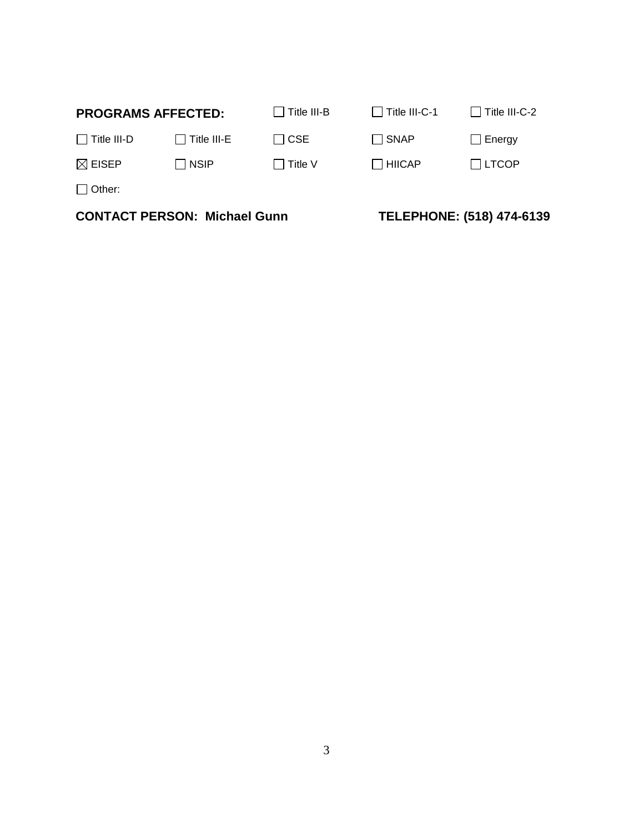| <b>CONTACT PERSON: Michael Gunn</b> |                    |                    | TELEPHONE: (518) 474-6139 |               |
|-------------------------------------|--------------------|--------------------|---------------------------|---------------|
| $\Box$ Other:                       |                    |                    |                           |               |
| $\boxtimes$ EISEP                   | $\Box$ NSIP        | $\Box$ Title V     | $\Box$ HIICAP             | $\Box$ LTCOP  |
| $\Box$ Title III-D                  | $\Box$ Title III-E | $\Box$ CSE         | □ SNAP                    | $\Box$ Energy |
| <b>PROGRAMS AFFECTED:</b>           |                    | $\Box$ Title III-B | Title III-C-1             | Title III-C-2 |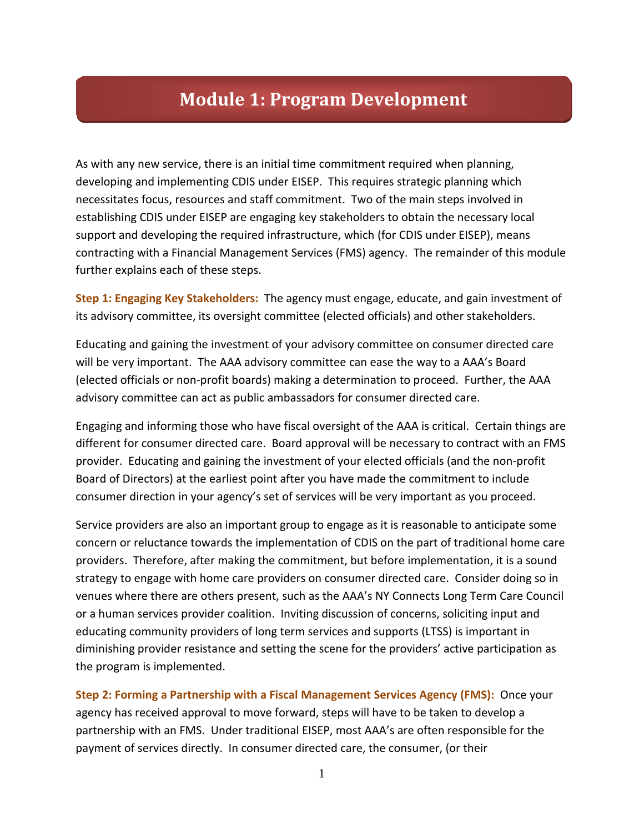# **Module 1: Program Development**

As with any new service, there is an initial time commitment required when planning, developing and implementing CDIS under EISEP. This requires strategic planning which necessitates focus, resources and staff commitment. Two of the main steps involved in establishing CDIS under EISEP are engaging key stakeholders to obtain the necessary local support and developing the required infrastructure, which (for CDIS under EISEP), means contracting with a Financial Management Services (FMS) agency. The remainder of this module further explains each of these steps.

**Step 1: Engaging Key Stakeholders:** The agency must engage, educate, and gain investment of its advisory committee, its oversight committee (elected officials) and other stakeholders.

Educating and gaining the investment of your advisory committee on consumer directed care will be very important. The AAA advisory committee can ease the way to a AAA's Board (elected officials or non-profit boards) making a determination to proceed. Further, the AAA advisory committee can act as public ambassadors for consumer directed care.

Engaging and informing those who have fiscal oversight of the AAA is critical. Certain things are different for consumer directed care. Board approval will be necessary to contract with an FMS provider. Educating and gaining the investment of your elected officials (and the non-profit Board of Directors) at the earliest point after you have made the commitment to include consumer direction in your agency's set of services will be very important as you proceed.

Service providers are also an important group to engage as it is reasonable to anticipate some concern or reluctance towards the implementation of CDIS on the part of traditional home care providers. Therefore, after making the commitment, but before implementation, it is a sound strategy to engage with home care providers on consumer directed care. Consider doing so in venues where there are others present, such as the AAA's NY Connects Long Term Care Council or a human services provider coalition. Inviting discussion of concerns, soliciting input and educating community providers of long term services and supports (LTSS) is important in diminishing provider resistance and setting the scene for the providers' active participation as the program is implemented.

**Step 2: Forming a Partnership with a Fiscal Management Services Agency (FMS):** Once your agency has received approval to move forward, steps will have to be taken to develop a partnership with an FMS. Under traditional EISEP, most AAA's are often responsible for the payment of services directly. In consumer directed care, the consumer, (or their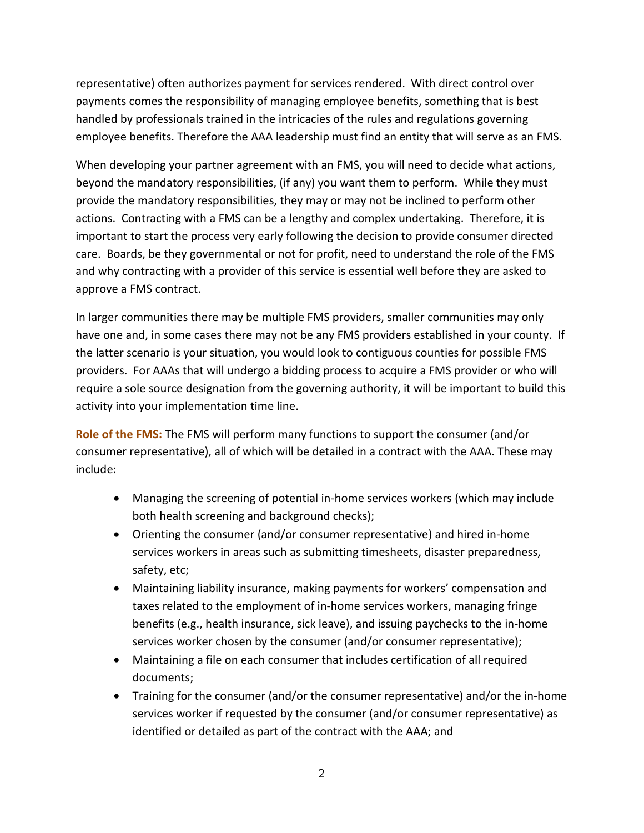representative) often authorizes payment for services rendered. With direct control over payments comes the responsibility of managing employee benefits, something that is best handled by professionals trained in the intricacies of the rules and regulations governing employee benefits. Therefore the AAA leadership must find an entity that will serve as an FMS.

When developing your partner agreement with an FMS, you will need to decide what actions, beyond the mandatory responsibilities, (if any) you want them to perform. While they must provide the mandatory responsibilities, they may or may not be inclined to perform other actions. Contracting with a FMS can be a lengthy and complex undertaking. Therefore, it is important to start the process very early following the decision to provide consumer directed care. Boards, be they governmental or not for profit, need to understand the role of the FMS and why contracting with a provider of this service is essential well before they are asked to approve a FMS contract.

In larger communities there may be multiple FMS providers, smaller communities may only have one and, in some cases there may not be any FMS providers established in your county. If the latter scenario is your situation, you would look to contiguous counties for possible FMS providers. For AAAs that will undergo a bidding process to acquire a FMS provider or who will require a sole source designation from the governing authority, it will be important to build this activity into your implementation time line.

**Role of the FMS:** The FMS will perform many functions to support the consumer (and/or consumer representative), all of which will be detailed in a contract with the AAA. These may include:

- Managing the screening of potential in-home services workers (which may include both health screening and background checks);
- Orienting the consumer (and/or consumer representative) and hired in-home services workers in areas such as submitting timesheets, disaster preparedness, safety, etc;
- Maintaining liability insurance, making payments for workers' compensation and taxes related to the employment of in-home services workers, managing fringe benefits (e.g., health insurance, sick leave), and issuing paychecks to the in-home services worker chosen by the consumer (and/or consumer representative);
- Maintaining a file on each consumer that includes certification of all required documents;
- Training for the consumer (and/or the consumer representative) and/or the in-home services worker if requested by the consumer (and/or consumer representative) as identified or detailed as part of the contract with the AAA; and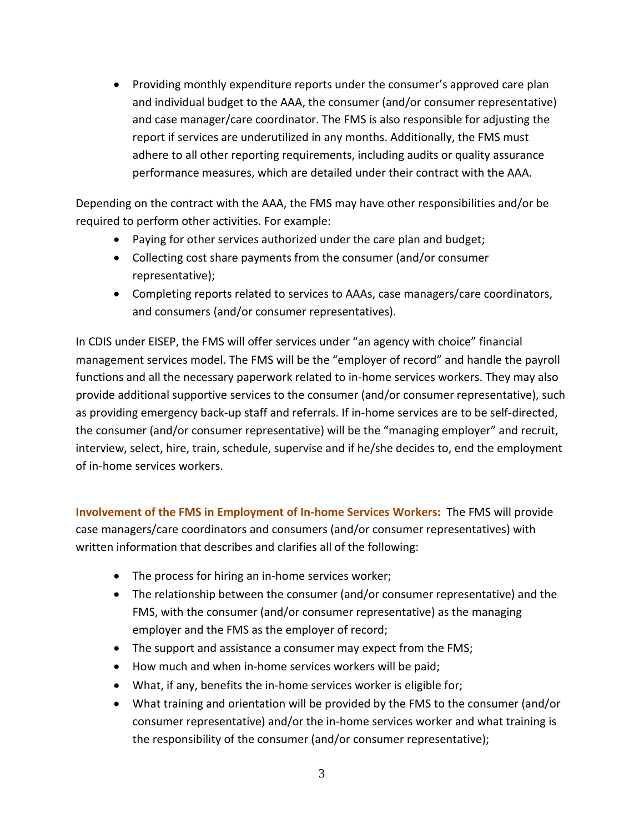• Providing monthly expenditure reports under the consumer's approved care plan and individual budget to the AAA, the consumer (and/or consumer representative) and case manager/care coordinator. The FMS is also responsible for adjusting the report if services are underutilized in any months. Additionally, the FMS must adhere to all other reporting requirements, including audits or quality assurance performance measures, which are detailed under their contract with the AAA.

Depending on the contract with the AAA, the FMS may have other responsibilities and/or be required to perform other activities. For example:

- Paying for other services authorized under the care plan and budget;
- Collecting cost share payments from the consumer (and/or consumer representative);
- Completing reports related to services to AAAs, case managers/care coordinators, and consumers (and/or consumer representatives).

In CDIS under EISEP, the FMS will offer services under "an agency with choice" financial management services model. The FMS will be the "employer of record" and handle the payroll functions and all the necessary paperwork related to in-home services workers. They may also provide additional supportive services to the consumer (and/or consumer representative), such as providing emergency back-up staff and referrals. If in-home services are to be self-directed, the consumer (and/or consumer representative) will be the "managing employer" and recruit, interview, select, hire, train, schedule, supervise and if he/she decides to, end the employment of in-home services workers.

**Involvement of the FMS in Employment of In-home Services Workers:** The FMS will provide case managers/care coordinators and consumers (and/or consumer representatives) with written information that describes and clarifies all of the following:

- The process for hiring an in-home services worker;
- The relationship between the consumer (and/or consumer representative) and the FMS, with the consumer (and/or consumer representative) as the managing employer and the FMS as the employer of record;
- The support and assistance a consumer may expect from the FMS;
- How much and when in-home services workers will be paid;
- What, if any, benefits the in-home services worker is eligible for;
- What training and orientation will be provided by the FMS to the consumer (and/or consumer representative) and/or the in-home services worker and what training is the responsibility of the consumer (and/or consumer representative);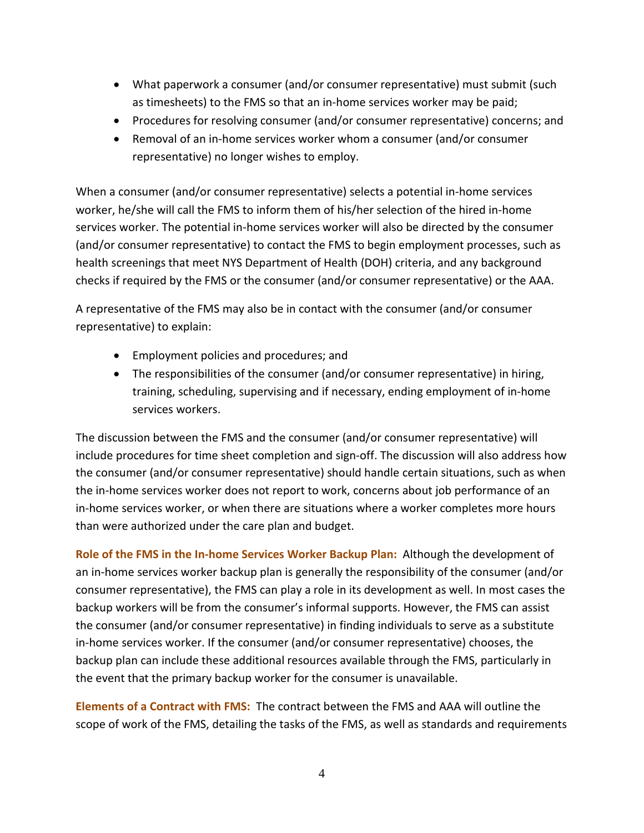- What paperwork a consumer (and/or consumer representative) must submit (such as timesheets) to the FMS so that an in-home services worker may be paid;
- Procedures for resolving consumer (and/or consumer representative) concerns; and
- Removal of an in-home services worker whom a consumer (and/or consumer representative) no longer wishes to employ.

When a consumer (and/or consumer representative) selects a potential in-home services worker, he/she will call the FMS to inform them of his/her selection of the hired in-home services worker. The potential in-home services worker will also be directed by the consumer (and/or consumer representative) to contact the FMS to begin employment processes, such as health screenings that meet NYS Department of Health (DOH) criteria, and any background checks if required by the FMS or the consumer (and/or consumer representative) or the AAA.

A representative of the FMS may also be in contact with the consumer (and/or consumer representative) to explain:

- Employment policies and procedures; and
- The responsibilities of the consumer (and/or consumer representative) in hiring, training, scheduling, supervising and if necessary, ending employment of in-home services workers.

The discussion between the FMS and the consumer (and/or consumer representative) will include procedures for time sheet completion and sign-off. The discussion will also address how the consumer (and/or consumer representative) should handle certain situations, such as when the in-home services worker does not report to work, concerns about job performance of an in-home services worker, or when there are situations where a worker completes more hours than were authorized under the care plan and budget.

**Role of the FMS in the In-home Services Worker Backup Plan:** Although the development of an in-home services worker backup plan is generally the responsibility of the consumer (and/or consumer representative), the FMS can play a role in its development as well. In most cases the backup workers will be from the consumer's informal supports. However, the FMS can assist the consumer (and/or consumer representative) in finding individuals to serve as a substitute in-home services worker. If the consumer (and/or consumer representative) chooses, the backup plan can include these additional resources available through the FMS, particularly in the event that the primary backup worker for the consumer is unavailable.

**Elements of a Contract with FMS:** The contract between the FMS and AAA will outline the scope of work of the FMS, detailing the tasks of the FMS, as well as standards and requirements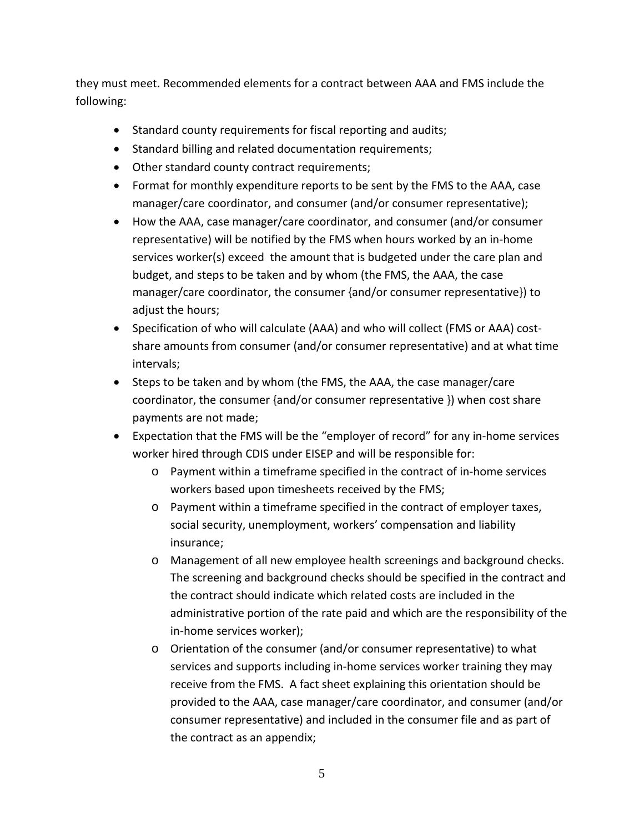they must meet. Recommended elements for a contract between AAA and FMS include the following:

- Standard county requirements for fiscal reporting and audits;
- Standard billing and related documentation requirements;
- Other standard county contract requirements;
- Format for monthly expenditure reports to be sent by the FMS to the AAA, case manager/care coordinator, and consumer (and/or consumer representative);
- How the AAA, case manager/care coordinator, and consumer (and/or consumer representative) will be notified by the FMS when hours worked by an in-home services worker(s) exceed the amount that is budgeted under the care plan and budget, and steps to be taken and by whom (the FMS, the AAA, the case manager/care coordinator, the consumer {and/or consumer representative}) to adjust the hours;
- Specification of who will calculate (AAA) and who will collect (FMS or AAA) costshare amounts from consumer (and/or consumer representative) and at what time intervals;
- Steps to be taken and by whom (the FMS, the AAA, the case manager/care coordinator, the consumer {and/or consumer representative }) when cost share payments are not made;
- Expectation that the FMS will be the "employer of record" for any in-home services worker hired through CDIS under EISEP and will be responsible for:
	- o Payment within a timeframe specified in the contract of in-home services workers based upon timesheets received by the FMS;
	- o Payment within a timeframe specified in the contract of employer taxes, social security, unemployment, workers' compensation and liability insurance;
	- o Management of all new employee health screenings and background checks. The screening and background checks should be specified in the contract and the contract should indicate which related costs are included in the administrative portion of the rate paid and which are the responsibility of the in-home services worker);
	- o Orientation of the consumer (and/or consumer representative) to what services and supports including in-home services worker training they may receive from the FMS. A fact sheet explaining this orientation should be provided to the AAA, case manager/care coordinator, and consumer (and/or consumer representative) and included in the consumer file and as part of the contract as an appendix;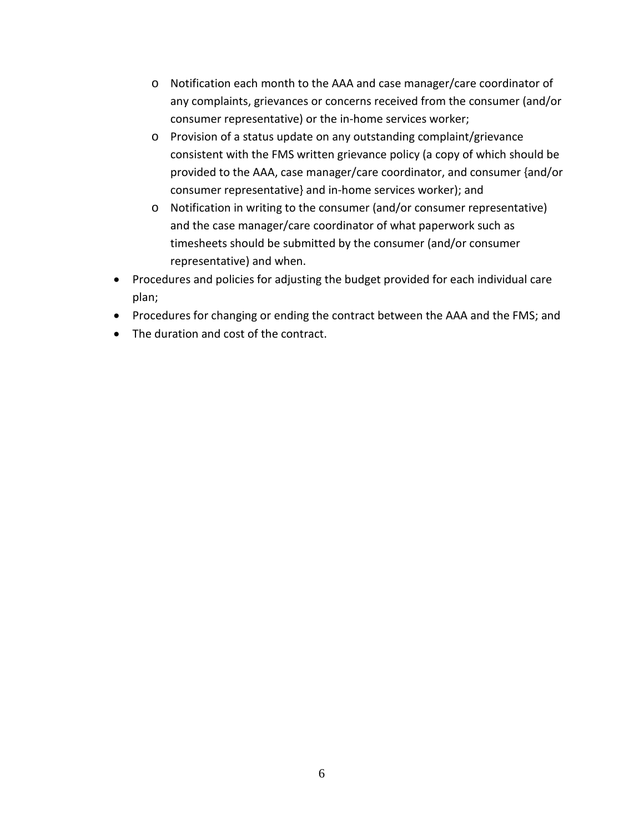- o Notification each month to the AAA and case manager/care coordinator of any complaints, grievances or concerns received from the consumer (and/or consumer representative) or the in-home services worker;
- o Provision of a status update on any outstanding complaint/grievance consistent with the FMS written grievance policy (a copy of which should be provided to the AAA, case manager/care coordinator, and consumer {and/or consumer representative} and in-home services worker); and
- o Notification in writing to the consumer (and/or consumer representative) and the case manager/care coordinator of what paperwork such as timesheets should be submitted by the consumer (and/or consumer representative) and when.
- Procedures and policies for adjusting the budget provided for each individual care plan;
- Procedures for changing or ending the contract between the AAA and the FMS; and
- The duration and cost of the contract.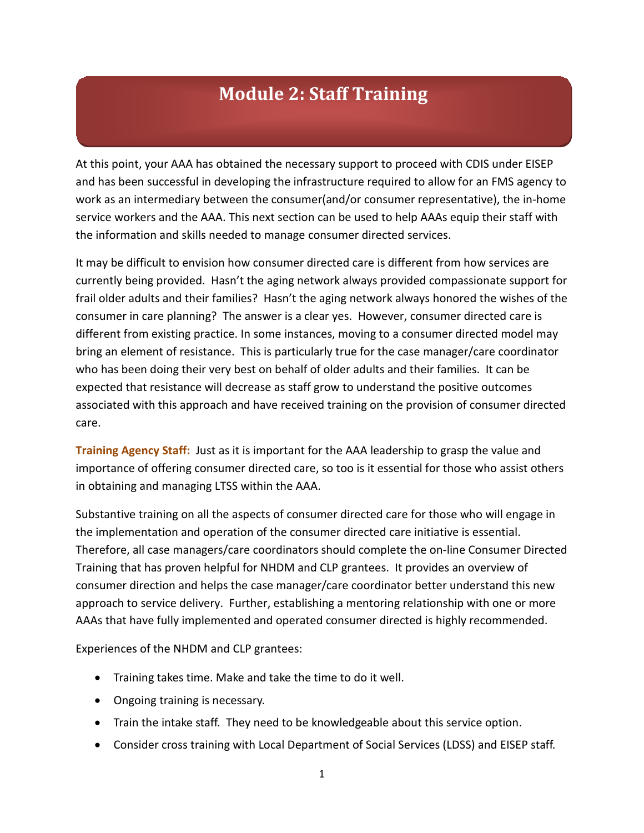# **Module 2: Staff Training**

At this point, your AAA has obtained the necessary support to proceed with CDIS under EISEP and has been successful in developing the infrastructure required to allow for an FMS agency to work as an intermediary between the consumer(and/or consumer representative), the in-home service workers and the AAA. This next section can be used to help AAAs equip their staff with the information and skills needed to manage consumer directed services.

It may be difficult to envision how consumer directed care is different from how services are currently being provided. Hasn't the aging network always provided compassionate support for frail older adults and their families? Hasn't the aging network always honored the wishes of the consumer in care planning? The answer is a clear yes. However, consumer directed care is different from existing practice. In some instances, moving to a consumer directed model may bring an element of resistance. This is particularly true for the case manager/care coordinator who has been doing their very best on behalf of older adults and their families. It can be expected that resistance will decrease as staff grow to understand the positive outcomes associated with this approach and have received training on the provision of consumer directed care.

**Training Agency Staff:** Just as it is important for the AAA leadership to grasp the value and importance of offering consumer directed care, so too is it essential for those who assist others in obtaining and managing LTSS within the AAA.

Substantive training on all the aspects of consumer directed care for those who will engage in the implementation and operation of the consumer directed care initiative is essential. Therefore, all case managers/care coordinators should complete the on-line Consumer Directed Training that has proven helpful for NHDM and CLP grantees. It provides an overview of consumer direction and helps the case manager/care coordinator better understand this new approach to service delivery. Further, establishing a mentoring relationship with one or more AAAs that have fully implemented and operated consumer directed is highly recommended.

Experiences of the NHDM and CLP grantees:

- Training takes time. Make and take the time to do it well.
- Ongoing training is necessary.
- Train the intake staff. They need to be knowledgeable about this service option.
- Consider cross training with Local Department of Social Services (LDSS) and EISEP staff.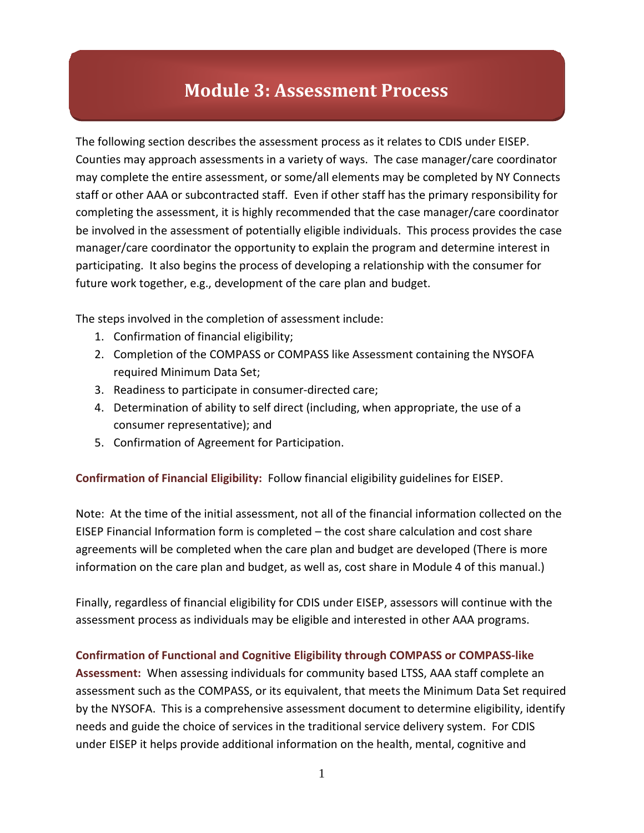# **Module 3: Assessment Process**

The following section describes the assessment process as it relates to CDIS under EISEP. Counties may approach assessments in a variety of ways. The case manager/care coordinator may complete the entire assessment, or some/all elements may be completed by NY Connects staff or other AAA or subcontracted staff. Even if other staff has the primary responsibility for completing the assessment, it is highly recommended that the case manager/care coordinator be involved in the assessment of potentially eligible individuals. This process provides the case manager/care coordinator the opportunity to explain the program and determine interest in participating. It also begins the process of developing a relationship with the consumer for future work together, e.g., development of the care plan and budget.

The steps involved in the completion of assessment include:

- 1. Confirmation of financial eligibility;
- 2. Completion of the COMPASS or COMPASS like Assessment containing the NYSOFA required Minimum Data Set;
- 3. Readiness to participate in consumer-directed care;
- 4. Determination of ability to self direct (including, when appropriate, the use of a consumer representative); and
- 5. Confirmation of Agreement for Participation.

**Confirmation of Financial Eligibility:** Follow financial eligibility guidelines for EISEP.

Note: At the time of the initial assessment, not all of the financial information collected on the EISEP Financial Information form is completed – the cost share calculation and cost share agreements will be completed when the care plan and budget are developed (There is more information on the care plan and budget, as well as, cost share in Module 4 of this manual.)

Finally, regardless of financial eligibility for CDIS under EISEP, assessors will continue with the assessment process as individuals may be eligible and interested in other AAA programs.

#### **Confirmation of Functional and Cognitive Eligibility through COMPASS or COMPASS-like**

**Assessment:** When assessing individuals for community based LTSS, AAA staff complete an assessment such as the COMPASS, or its equivalent, that meets the Minimum Data Set required by the NYSOFA. This is a comprehensive assessment document to determine eligibility, identify needs and guide the choice of services in the traditional service delivery system. For CDIS under EISEP it helps provide additional information on the health, mental, cognitive and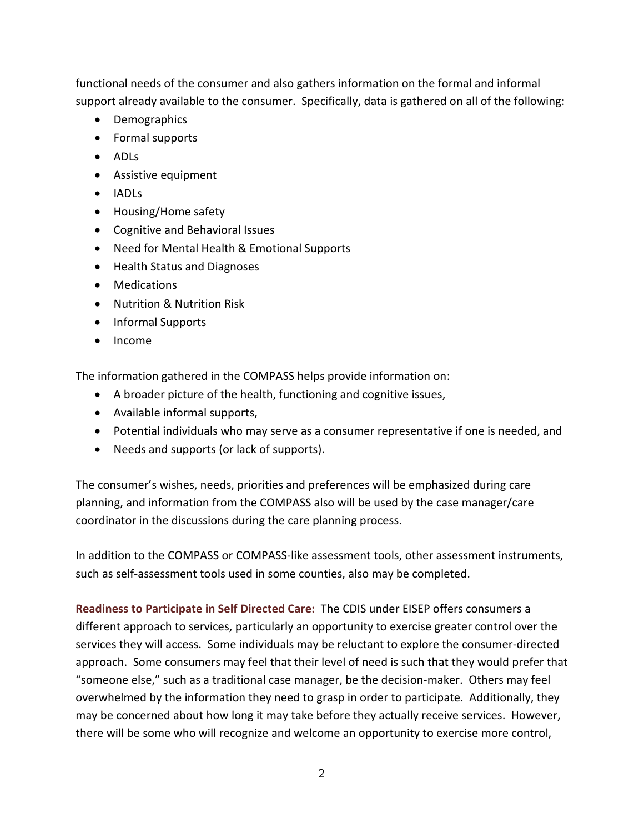functional needs of the consumer and also gathers information on the formal and informal support already available to the consumer. Specifically, data is gathered on all of the following:

- Demographics
- Formal supports
- ADLs
- Assistive equipment
- IADLs
- Housing/Home safety
- Cognitive and Behavioral Issues
- Need for Mental Health & Emotional Supports
- Health Status and Diagnoses
- Medications
- Nutrition & Nutrition Risk
- Informal Supports
- Income

The information gathered in the COMPASS helps provide information on:

- A broader picture of the health, functioning and cognitive issues,
- Available informal supports,
- Potential individuals who may serve as a consumer representative if one is needed, and
- Needs and supports (or lack of supports).

The consumer's wishes, needs, priorities and preferences will be emphasized during care planning, and information from the COMPASS also will be used by the case manager/care coordinator in the discussions during the care planning process.

In addition to the COMPASS or COMPASS-like assessment tools, other assessment instruments, such as self-assessment tools used in some counties, also may be completed.

**Readiness to Participate in Self Directed Care:** The CDIS under EISEP offers consumers a different approach to services, particularly an opportunity to exercise greater control over the services they will access. Some individuals may be reluctant to explore the consumer-directed approach. Some consumers may feel that their level of need is such that they would prefer that "someone else," such as a traditional case manager, be the decision-maker. Others may feel overwhelmed by the information they need to grasp in order to participate. Additionally, they may be concerned about how long it may take before they actually receive services. However, there will be some who will recognize and welcome an opportunity to exercise more control,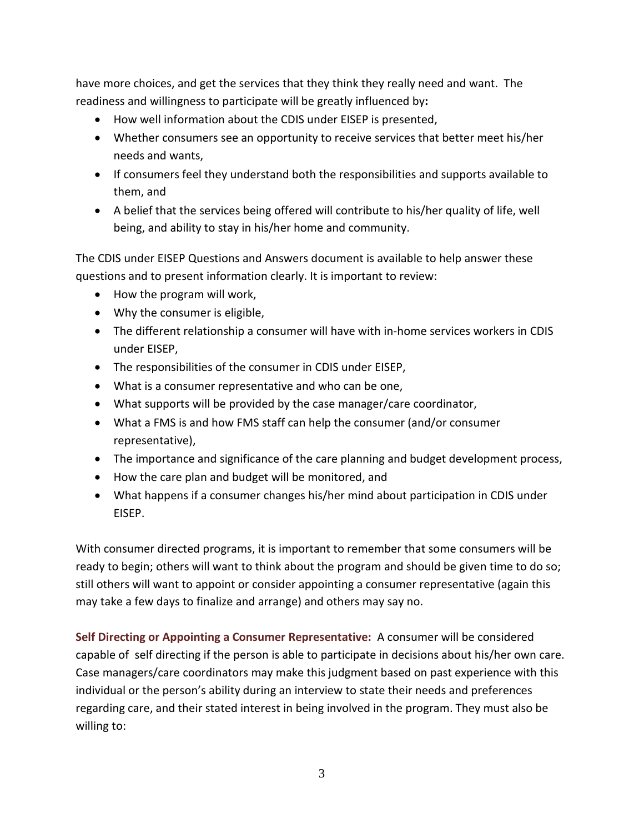have more choices, and get the services that they think they really need and want. The readiness and willingness to participate will be greatly influenced by**:**

- How well information about the CDIS under EISEP is presented,
- Whether consumers see an opportunity to receive services that better meet his/her needs and wants,
- If consumers feel they understand both the responsibilities and supports available to them, and
- A belief that the services being offered will contribute to his/her quality of life, well being, and ability to stay in his/her home and community.

The CDIS under EISEP Questions and Answers document is available to help answer these questions and to present information clearly. It is important to review:

- How the program will work,
- Why the consumer is eligible,
- The different relationship a consumer will have with in-home services workers in CDIS under EISEP,
- The responsibilities of the consumer in CDIS under EISEP,
- What is a consumer representative and who can be one,
- What supports will be provided by the case manager/care coordinator,
- What a FMS is and how FMS staff can help the consumer (and/or consumer representative),
- The importance and significance of the care planning and budget development process,
- How the care plan and budget will be monitored, and
- What happens if a consumer changes his/her mind about participation in CDIS under EISEP.

With consumer directed programs, it is important to remember that some consumers will be ready to begin; others will want to think about the program and should be given time to do so; still others will want to appoint or consider appointing a consumer representative (again this may take a few days to finalize and arrange) and others may say no.

**Self Directing or Appointing a Consumer Representative:** A consumer will be considered capable of self directing if the person is able to participate in decisions about his/her own care. Case managers/care coordinators may make this judgment based on past experience with this individual or the person's ability during an interview to state their needs and preferences regarding care, and their stated interest in being involved in the program. They must also be willing to: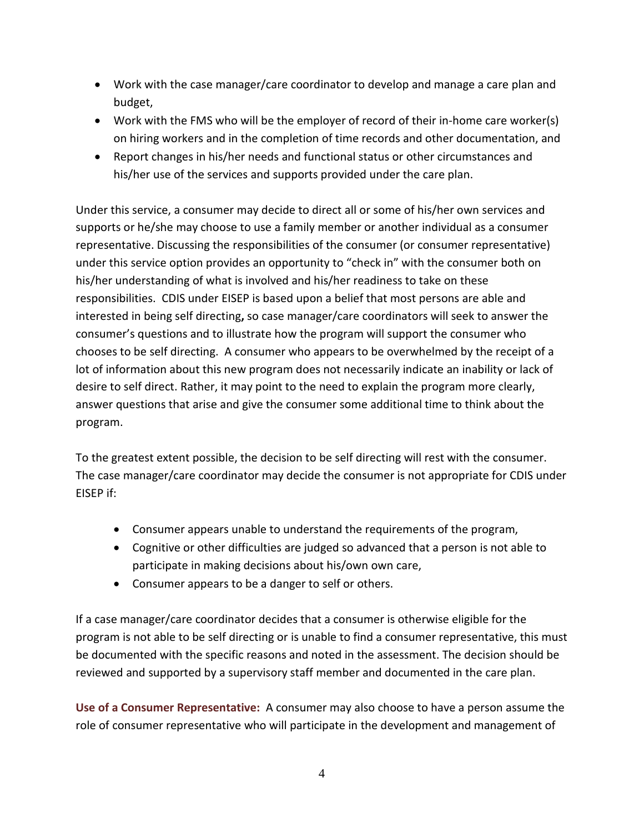- Work with the case manager/care coordinator to develop and manage a care plan and budget,
- Work with the FMS who will be the employer of record of their in-home care worker(s) on hiring workers and in the completion of time records and other documentation, and
- Report changes in his/her needs and functional status or other circumstances and his/her use of the services and supports provided under the care plan.

Under this service, a consumer may decide to direct all or some of his/her own services and supports or he/she may choose to use a family member or another individual as a consumer representative. Discussing the responsibilities of the consumer (or consumer representative) under this service option provides an opportunity to "check in" with the consumer both on his/her understanding of what is involved and his/her readiness to take on these responsibilities. CDIS under EISEP is based upon a belief that most persons are able and interested in being self directing**,** so case manager/care coordinators will seek to answer the consumer's questions and to illustrate how the program will support the consumer who chooses to be self directing. A consumer who appears to be overwhelmed by the receipt of a lot of information about this new program does not necessarily indicate an inability or lack of desire to self direct. Rather, it may point to the need to explain the program more clearly, answer questions that arise and give the consumer some additional time to think about the program.

To the greatest extent possible, the decision to be self directing will rest with the consumer. The case manager/care coordinator may decide the consumer is not appropriate for CDIS under EISEP if:

- Consumer appears unable to understand the requirements of the program,
- Cognitive or other difficulties are judged so advanced that a person is not able to participate in making decisions about his/own own care,
- Consumer appears to be a danger to self or others.

If a case manager/care coordinator decides that a consumer is otherwise eligible for the program is not able to be self directing or is unable to find a consumer representative, this must be documented with the specific reasons and noted in the assessment. The decision should be reviewed and supported by a supervisory staff member and documented in the care plan.

**Use of a Consumer Representative:** A consumer may also choose to have a person assume the role of consumer representative who will participate in the development and management of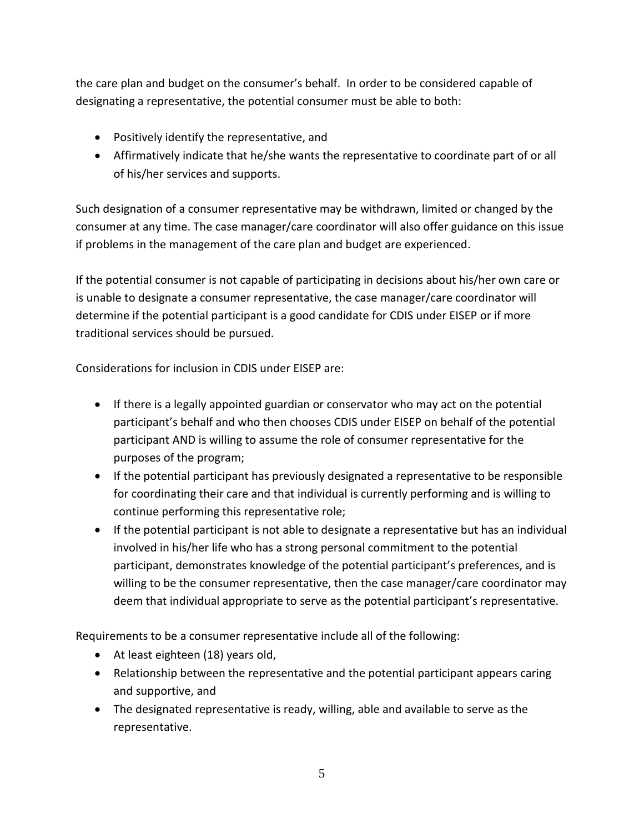the care plan and budget on the consumer's behalf. In order to be considered capable of designating a representative, the potential consumer must be able to both:

- Positively identify the representative, and
- Affirmatively indicate that he/she wants the representative to coordinate part of or all of his/her services and supports.

Such designation of a consumer representative may be withdrawn, limited or changed by the consumer at any time. The case manager/care coordinator will also offer guidance on this issue if problems in the management of the care plan and budget are experienced.

If the potential consumer is not capable of participating in decisions about his/her own care or is unable to designate a consumer representative, the case manager/care coordinator will determine if the potential participant is a good candidate for CDIS under EISEP or if more traditional services should be pursued.

Considerations for inclusion in CDIS under EISEP are:

- If there is a legally appointed guardian or conservator who may act on the potential participant's behalf and who then chooses CDIS under EISEP on behalf of the potential participant AND is willing to assume the role of consumer representative for the purposes of the program;
- If the potential participant has previously designated a representative to be responsible for coordinating their care and that individual is currently performing and is willing to continue performing this representative role;
- If the potential participant is not able to designate a representative but has an individual involved in his/her life who has a strong personal commitment to the potential participant, demonstrates knowledge of the potential participant's preferences, and is willing to be the consumer representative, then the case manager/care coordinator may deem that individual appropriate to serve as the potential participant's representative.

Requirements to be a consumer representative include all of the following:

- At least eighteen (18) years old,
- Relationship between the representative and the potential participant appears caring and supportive, and
- The designated representative is ready, willing, able and available to serve as the representative.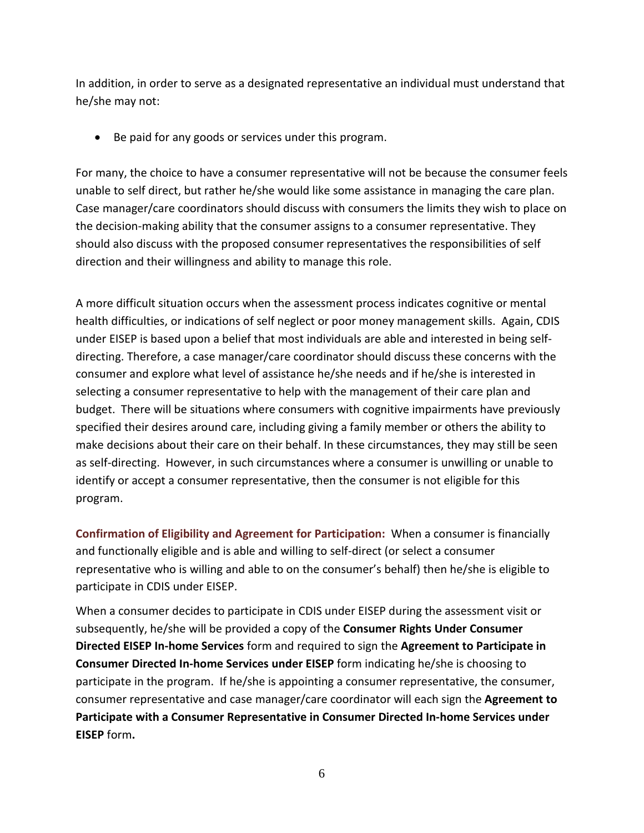In addition, in order to serve as a designated representative an individual must understand that he/she may not:

• Be paid for any goods or services under this program.

For many, the choice to have a consumer representative will not be because the consumer feels unable to self direct, but rather he/she would like some assistance in managing the care plan. Case manager/care coordinators should discuss with consumers the limits they wish to place on the decision-making ability that the consumer assigns to a consumer representative. They should also discuss with the proposed consumer representatives the responsibilities of self direction and their willingness and ability to manage this role.

A more difficult situation occurs when the assessment process indicates cognitive or mental health difficulties, or indications of self neglect or poor money management skills. Again, CDIS under EISEP is based upon a belief that most individuals are able and interested in being selfdirecting. Therefore, a case manager/care coordinator should discuss these concerns with the consumer and explore what level of assistance he/she needs and if he/she is interested in selecting a consumer representative to help with the management of their care plan and budget. There will be situations where consumers with cognitive impairments have previously specified their desires around care, including giving a family member or others the ability to make decisions about their care on their behalf. In these circumstances, they may still be seen as self-directing. However, in such circumstances where a consumer is unwilling or unable to identify or accept a consumer representative, then the consumer is not eligible for this program.

**Confirmation of Eligibility and Agreement for Participation:** When a consumer is financially and functionally eligible and is able and willing to self-direct (or select a consumer representative who is willing and able to on the consumer's behalf) then he/she is eligible to participate in CDIS under EISEP.

When a consumer decides to participate in CDIS under EISEP during the assessment visit or subsequently, he/she will be provided a copy of the **Consumer Rights Under Consumer Directed EISEP In-home Services** form and required to sign the **Agreement to Participate in Consumer Directed In-home Services under EISEP** form indicating he/she is choosing to participate in the program. If he/she is appointing a consumer representative, the consumer, consumer representative and case manager/care coordinator will each sign the **Agreement to Participate with a Consumer Representative in Consumer Directed In-home Services under EISEP** form**.**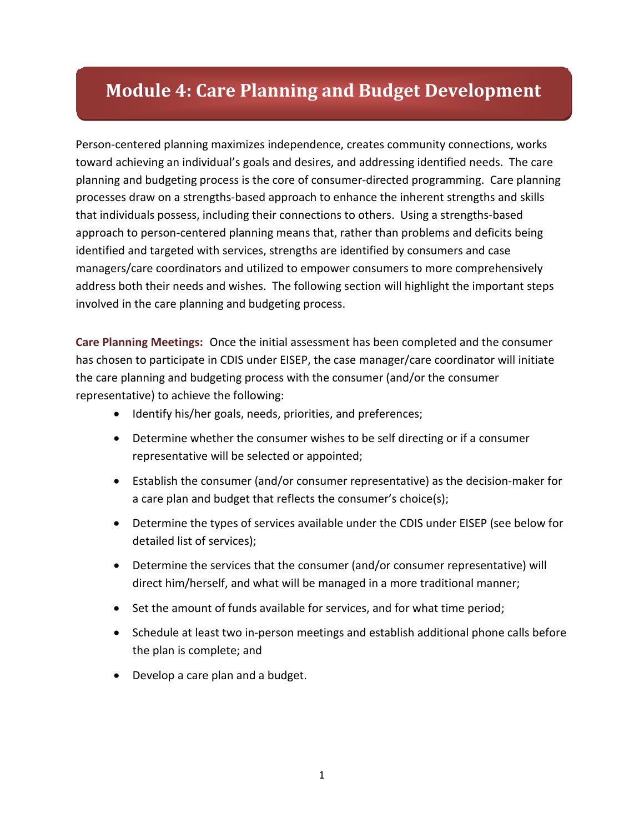# **Module 4: Care Planning and Budget Development**

Person-centered planning maximizes independence, creates community connections, works toward achieving an individual's goals and desires, and addressing identified needs. The care planning and budgeting process is the core of consumer-directed programming. Care planning processes draw on a strengths-based approach to enhance the inherent strengths and skills that individuals possess, including their connections to others. Using a strengths-based approach to person-centered planning means that, rather than problems and deficits being identified and targeted with services, strengths are identified by consumers and case managers/care coordinators and utilized to empower consumers to more comprehensively address both their needs and wishes. The following section will highlight the important steps involved in the care planning and budgeting process.

**Care Planning Meetings:** Once the initial assessment has been completed and the consumer has chosen to participate in CDIS under EISEP, the case manager/care coordinator will initiate the care planning and budgeting process with the consumer (and/or the consumer representative) to achieve the following:

- Identify his/her goals, needs, priorities, and preferences;
- Determine whether the consumer wishes to be self directing or if a consumer representative will be selected or appointed;
- Establish the consumer (and/or consumer representative) as the decision-maker for a care plan and budget that reflects the consumer's choice(s);
- Determine the types of services available under the CDIS under EISEP (see below for detailed list of services);
- Determine the services that the consumer (and/or consumer representative) will direct him/herself, and what will be managed in a more traditional manner;
- Set the amount of funds available for services, and for what time period;
- Schedule at least two in-person meetings and establish additional phone calls before the plan is complete; and
- Develop a care plan and a budget.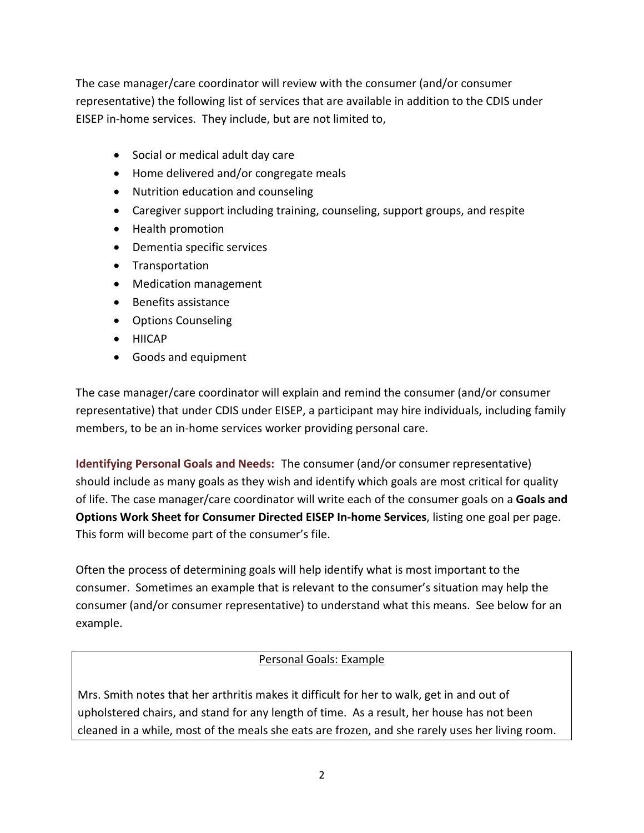The case manager/care coordinator will review with the consumer (and/or consumer representative) the following list of services that are available in addition to the CDIS under EISEP in-home services. They include, but are not limited to,

- Social or medical adult day care
- Home delivered and/or congregate meals
- Nutrition education and counseling
- Caregiver support including training, counseling, support groups, and respite
- Health promotion
- Dementia specific services
- Transportation
- Medication management
- Benefits assistance
- Options Counseling
- HIICAP
- Goods and equipment

The case manager/care coordinator will explain and remind the consumer (and/or consumer representative) that under CDIS under EISEP, a participant may hire individuals, including family members, to be an in-home services worker providing personal care.

**Identifying Personal Goals and Needs:** The consumer (and/or consumer representative) should include as many goals as they wish and identify which goals are most critical for quality of life. The case manager/care coordinator will write each of the consumer goals on a **Goals and Options Work Sheet for Consumer Directed EISEP In-home Services**, listing one goal per page. This form will become part of the consumer's file.

Often the process of determining goals will help identify what is most important to the consumer. Sometimes an example that is relevant to the consumer's situation may help the consumer (and/or consumer representative) to understand what this means. See below for an example.

## Personal Goals: Example

Mrs. Smith notes that her arthritis makes it difficult for her to walk, get in and out of upholstered chairs, and stand for any length of time. As a result, her house has not been cleaned in a while, most of the meals she eats are frozen, and she rarely uses her living room.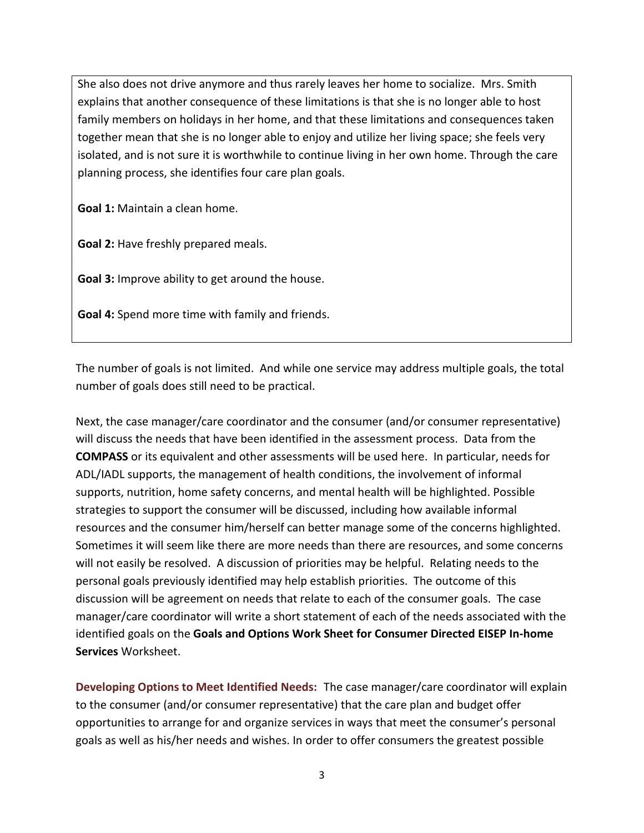She also does not drive anymore and thus rarely leaves her home to socialize. Mrs. Smith explains that another consequence of these limitations is that she is no longer able to host family members on holidays in her home, and that these limitations and consequences taken together mean that she is no longer able to enjoy and utilize her living space; she feels very isolated, and is not sure it is worthwhile to continue living in her own home. Through the care planning process, she identifies four care plan goals.

**Goal 1:** Maintain a clean home.

**Goal 2:** Have freshly prepared meals.

**Goal 3:** Improve ability to get around the house.

**Goal 4:** Spend more time with family and friends.

The number of goals is not limited. And while one service may address multiple goals, the total number of goals does still need to be practical.

Next, the case manager/care coordinator and the consumer (and/or consumer representative) will discuss the needs that have been identified in the assessment process. Data from the **COMPASS** or its equivalent and other assessments will be used here. In particular, needs for ADL/IADL supports, the management of health conditions, the involvement of informal supports, nutrition, home safety concerns, and mental health will be highlighted. Possible strategies to support the consumer will be discussed, including how available informal resources and the consumer him/herself can better manage some of the concerns highlighted. Sometimes it will seem like there are more needs than there are resources, and some concerns will not easily be resolved. A discussion of priorities may be helpful. Relating needs to the personal goals previously identified may help establish priorities. The outcome of this discussion will be agreement on needs that relate to each of the consumer goals. The case manager/care coordinator will write a short statement of each of the needs associated with the identified goals on the **Goals and Options Work Sheet for Consumer Directed EISEP In-home Services** Worksheet.

**Developing Options to Meet Identified Needs:** The case manager/care coordinator will explain to the consumer (and/or consumer representative) that the care plan and budget offer opportunities to arrange for and organize services in ways that meet the consumer's personal goals as well as his/her needs and wishes. In order to offer consumers the greatest possible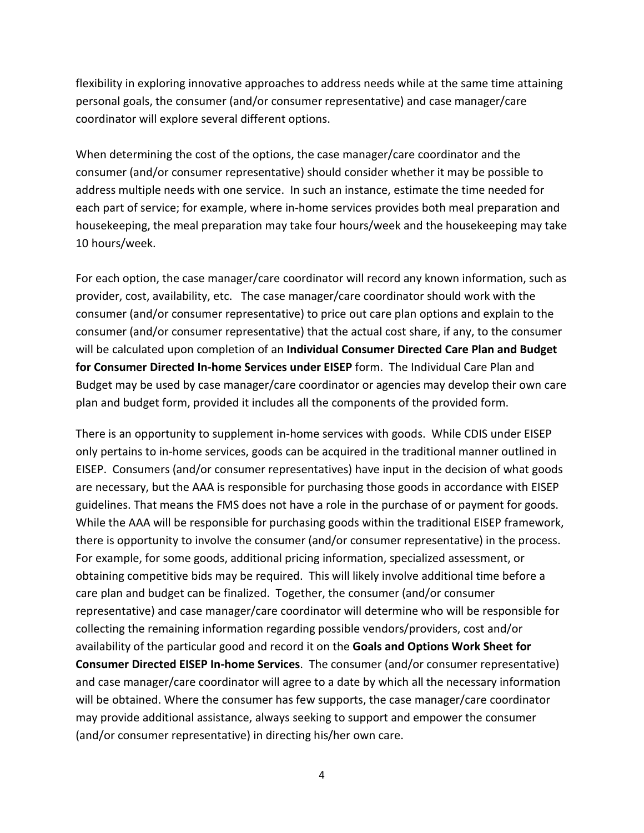flexibility in exploring innovative approaches to address needs while at the same time attaining personal goals, the consumer (and/or consumer representative) and case manager/care coordinator will explore several different options.

When determining the cost of the options, the case manager/care coordinator and the consumer (and/or consumer representative) should consider whether it may be possible to address multiple needs with one service. In such an instance, estimate the time needed for each part of service; for example, where in-home services provides both meal preparation and housekeeping, the meal preparation may take four hours/week and the housekeeping may take 10 hours/week.

For each option, the case manager/care coordinator will record any known information, such as provider, cost, availability, etc. The case manager/care coordinator should work with the consumer (and/or consumer representative) to price out care plan options and explain to the consumer (and/or consumer representative) that the actual cost share, if any, to the consumer will be calculated upon completion of an **Individual Consumer Directed Care Plan and Budget for Consumer Directed In-home Services under EISEP** form. The Individual Care Plan and Budget may be used by case manager/care coordinator or agencies may develop their own care plan and budget form, provided it includes all the components of the provided form.

There is an opportunity to supplement in-home services with goods. While CDIS under EISEP only pertains to in-home services, goods can be acquired in the traditional manner outlined in EISEP. Consumers (and/or consumer representatives) have input in the decision of what goods are necessary, but the AAA is responsible for purchasing those goods in accordance with EISEP guidelines. That means the FMS does not have a role in the purchase of or payment for goods. While the AAA will be responsible for purchasing goods within the traditional EISEP framework, there is opportunity to involve the consumer (and/or consumer representative) in the process. For example, for some goods, additional pricing information, specialized assessment, or obtaining competitive bids may be required. This will likely involve additional time before a care plan and budget can be finalized. Together, the consumer (and/or consumer representative) and case manager/care coordinator will determine who will be responsible for collecting the remaining information regarding possible vendors/providers, cost and/or availability of the particular good and record it on the **Goals and Options Work Sheet for Consumer Directed EISEP In-home Services**.The consumer (and/or consumer representative) and case manager/care coordinator will agree to a date by which all the necessary information will be obtained. Where the consumer has few supports, the case manager/care coordinator may provide additional assistance, always seeking to support and empower the consumer (and/or consumer representative) in directing his/her own care.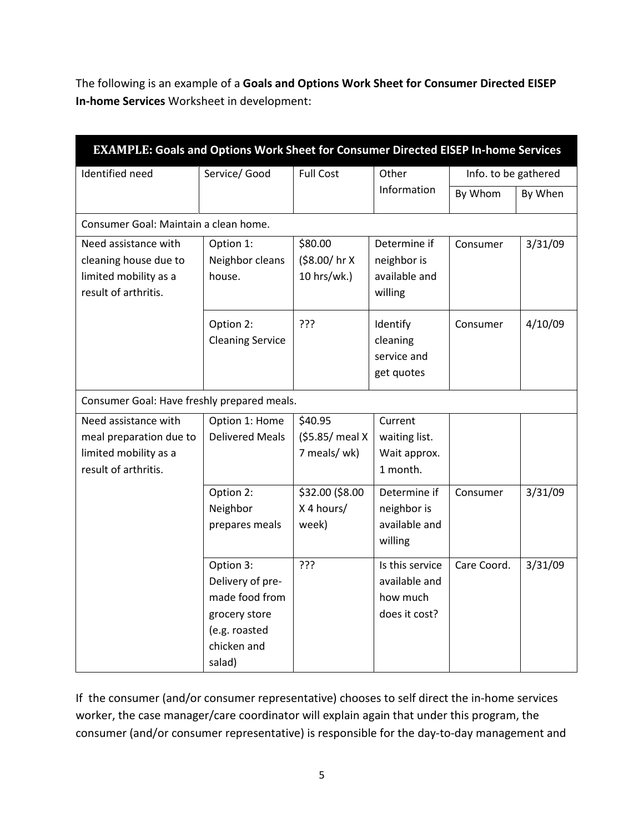The following is an example of a **Goals and Options Work Sheet for Consumer Directed EISEP In-home Services** Worksheet in development:

| EXAMPLE: Goals and Options Work Sheet for Consumer Directed EISEP In-home Services               |                                                                                                            |                                            |                                                               |                      |         |
|--------------------------------------------------------------------------------------------------|------------------------------------------------------------------------------------------------------------|--------------------------------------------|---------------------------------------------------------------|----------------------|---------|
| Identified need                                                                                  | Service/ Good                                                                                              | <b>Full Cost</b>                           | Other                                                         | Info. to be gathered |         |
|                                                                                                  |                                                                                                            |                                            | Information                                                   | By Whom              | By When |
| Consumer Goal: Maintain a clean home.                                                            |                                                                                                            |                                            |                                                               |                      |         |
| Need assistance with<br>cleaning house due to<br>limited mobility as a<br>result of arthritis.   | Option 1:<br>Neighbor cleans<br>house.                                                                     | \$80.00<br>(\$8.00/hr X<br>10 hrs/wk.)     | Determine if<br>neighbor is<br>available and<br>willing       | Consumer             | 3/31/09 |
|                                                                                                  | Option 2:<br><b>Cleaning Service</b>                                                                       | ?ַ??                                       | Identify<br>cleaning<br>service and<br>get quotes             | Consumer             | 4/10/09 |
| Consumer Goal: Have freshly prepared meals.                                                      |                                                                                                            |                                            |                                                               |                      |         |
| Need assistance with<br>meal preparation due to<br>limited mobility as a<br>result of arthritis. | Option 1: Home<br><b>Delivered Meals</b>                                                                   | \$40.95<br>(\$5.85/ meal X<br>7 meals/ wk) | Current<br>waiting list.<br>Wait approx.<br>1 month.          |                      |         |
|                                                                                                  | Option 2:<br>Neighbor<br>prepares meals                                                                    | \$32.00 (\$8.00<br>X 4 hours/<br>week)     | Determine if<br>neighbor is<br>available and<br>willing       | Consumer             | 3/31/09 |
|                                                                                                  | Option 3:<br>Delivery of pre-<br>made food from<br>grocery store<br>(e.g. roasted<br>chicken and<br>salad) | ???                                        | Is this service<br>available and<br>how much<br>does it cost? | Care Coord.          | 3/31/09 |

If the consumer (and/or consumer representative) chooses to self direct the in-home services worker, the case manager/care coordinator will explain again that under this program, the consumer (and/or consumer representative) is responsible for the day-to-day management and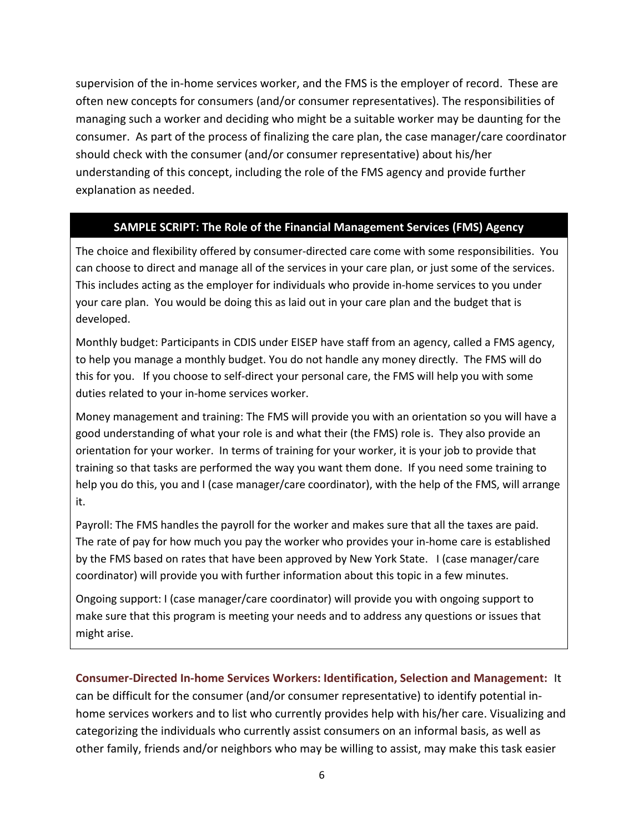supervision of the in-home services worker, and the FMS is the employer of record. These are often new concepts for consumers (and/or consumer representatives). The responsibilities of managing such a worker and deciding who might be a suitable worker may be daunting for the consumer. As part of the process of finalizing the care plan, the case manager/care coordinator should check with the consumer (and/or consumer representative) about his/her understanding of this concept, including the role of the FMS agency and provide further explanation as needed.

## **SAMPLE SCRIPT: The Role of the Financial Management Services (FMS) Agency**

The choice and flexibility offered by consumer-directed care come with some responsibilities. You can choose to direct and manage all of the services in your care plan, or just some of the services. This includes acting as the employer for individuals who provide in-home services to you under your care plan. You would be doing this as laid out in your care plan and the budget that is developed.

Monthly budget: Participants in CDIS under EISEP have staff from an agency, called a FMS agency, to help you manage a monthly budget. You do not handle any money directly. The FMS will do this for you. If you choose to self-direct your personal care, the FMS will help you with some duties related to your in-home services worker.

Money management and training: The FMS will provide you with an orientation so you will have a good understanding of what your role is and what their (the FMS) role is. They also provide an orientation for your worker. In terms of training for your worker, it is your job to provide that training so that tasks are performed the way you want them done. If you need some training to help you do this, you and I (case manager/care coordinator), with the help of the FMS, will arrange it.

Payroll: The FMS handles the payroll for the worker and makes sure that all the taxes are paid. The rate of pay for how much you pay the worker who provides your in-home care is established by the FMS based on rates that have been approved by New York State. I (case manager/care coordinator) will provide you with further information about this topic in a few minutes.

Ongoing support: I (case manager/care coordinator) will provide you with ongoing support to make sure that this program is meeting your needs and to address any questions or issues that might arise.

**Consumer-Directed In-home Services Workers: Identification, Selection and Management:** It can be difficult for the consumer (and/or consumer representative) to identify potential inhome services workers and to list who currently provides help with his/her care. Visualizing and categorizing the individuals who currently assist consumers on an informal basis, as well as other family, friends and/or neighbors who may be willing to assist, may make this task easier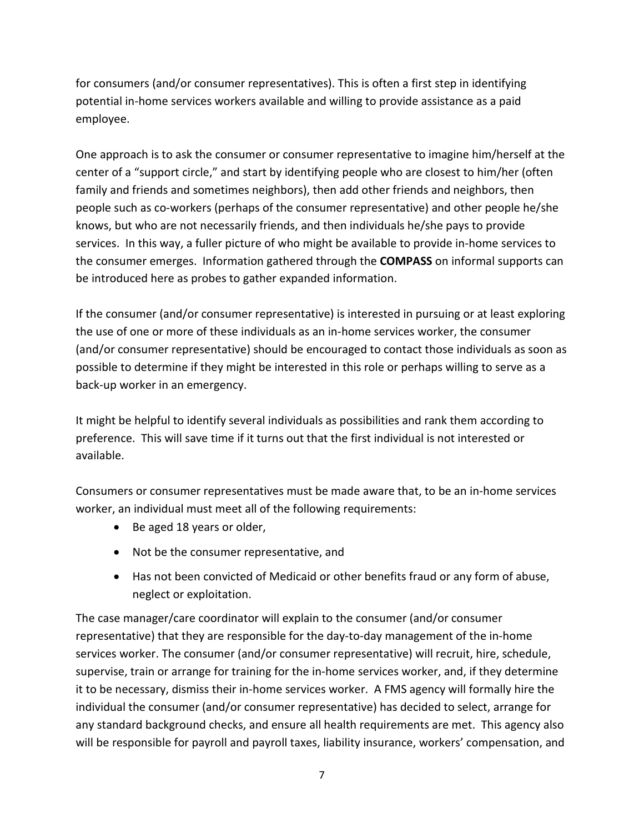for consumers (and/or consumer representatives). This is often a first step in identifying potential in-home services workers available and willing to provide assistance as a paid employee.

One approach is to ask the consumer or consumer representative to imagine him/herself at the center of a "support circle," and start by identifying people who are closest to him/her (often family and friends and sometimes neighbors), then add other friends and neighbors, then people such as co-workers (perhaps of the consumer representative) and other people he/she knows, but who are not necessarily friends, and then individuals he/she pays to provide services. In this way, a fuller picture of who might be available to provide in-home services to the consumer emerges. Information gathered through the **COMPASS** on informal supports can be introduced here as probes to gather expanded information.

If the consumer (and/or consumer representative) is interested in pursuing or at least exploring the use of one or more of these individuals as an in-home services worker, the consumer (and/or consumer representative) should be encouraged to contact those individuals as soon as possible to determine if they might be interested in this role or perhaps willing to serve as a back-up worker in an emergency.

It might be helpful to identify several individuals as possibilities and rank them according to preference. This will save time if it turns out that the first individual is not interested or available.

Consumers or consumer representatives must be made aware that, to be an in-home services worker, an individual must meet all of the following requirements:

- Be aged 18 years or older,
- Not be the consumer representative, and
- Has not been convicted of Medicaid or other benefits fraud or any form of abuse, neglect or exploitation.

The case manager/care coordinator will explain to the consumer (and/or consumer representative) that they are responsible for the day-to-day management of the in-home services worker. The consumer (and/or consumer representative) will recruit, hire, schedule, supervise, train or arrange for training for the in-home services worker, and, if they determine it to be necessary, dismiss their in-home services worker. A FMS agency will formally hire the individual the consumer (and/or consumer representative) has decided to select, arrange for any standard background checks, and ensure all health requirements are met. This agency also will be responsible for payroll and payroll taxes, liability insurance, workers' compensation, and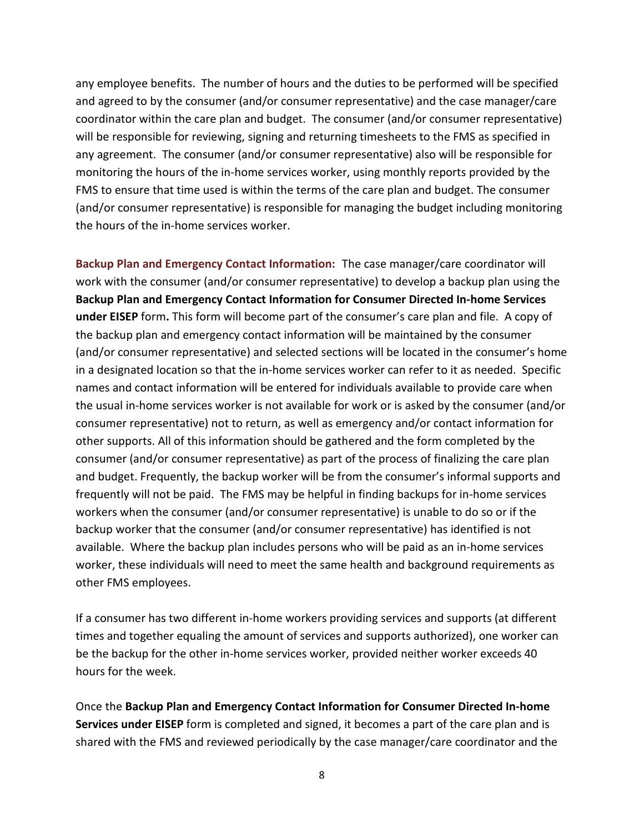any employee benefits. The number of hours and the duties to be performed will be specified and agreed to by the consumer (and/or consumer representative) and the case manager/care coordinator within the care plan and budget. The consumer (and/or consumer representative) will be responsible for reviewing, signing and returning timesheets to the FMS as specified in any agreement. The consumer (and/or consumer representative) also will be responsible for monitoring the hours of the in-home services worker, using monthly reports provided by the FMS to ensure that time used is within the terms of the care plan and budget. The consumer (and/or consumer representative) is responsible for managing the budget including monitoring the hours of the in-home services worker.

**Backup Plan and Emergency Contact Information:** The case manager/care coordinator will work with the consumer (and/or consumer representative) to develop a backup plan using the **Backup Plan and Emergency Contact Information for Consumer Directed In-home Services under EISEP** form**.** This form will become part of the consumer's care plan and file. A copy of the backup plan and emergency contact information will be maintained by the consumer (and/or consumer representative) and selected sections will be located in the consumer's home in a designated location so that the in-home services worker can refer to it as needed. Specific names and contact information will be entered for individuals available to provide care when the usual in-home services worker is not available for work or is asked by the consumer (and/or consumer representative) not to return, as well as emergency and/or contact information for other supports. All of this information should be gathered and the form completed by the consumer (and/or consumer representative) as part of the process of finalizing the care plan and budget. Frequently, the backup worker will be from the consumer's informal supports and frequently will not be paid. The FMS may be helpful in finding backups for in-home services workers when the consumer (and/or consumer representative) is unable to do so or if the backup worker that the consumer (and/or consumer representative) has identified is not available. Where the backup plan includes persons who will be paid as an in-home services worker, these individuals will need to meet the same health and background requirements as other FMS employees.

If a consumer has two different in-home workers providing services and supports (at different times and together equaling the amount of services and supports authorized), one worker can be the backup for the other in-home services worker, provided neither worker exceeds 40 hours for the week.

Once the **Backup Plan and Emergency Contact Information for Consumer Directed In-home Services under EISEP** form is completed and signed, it becomes a part of the care plan and is shared with the FMS and reviewed periodically by the case manager/care coordinator and the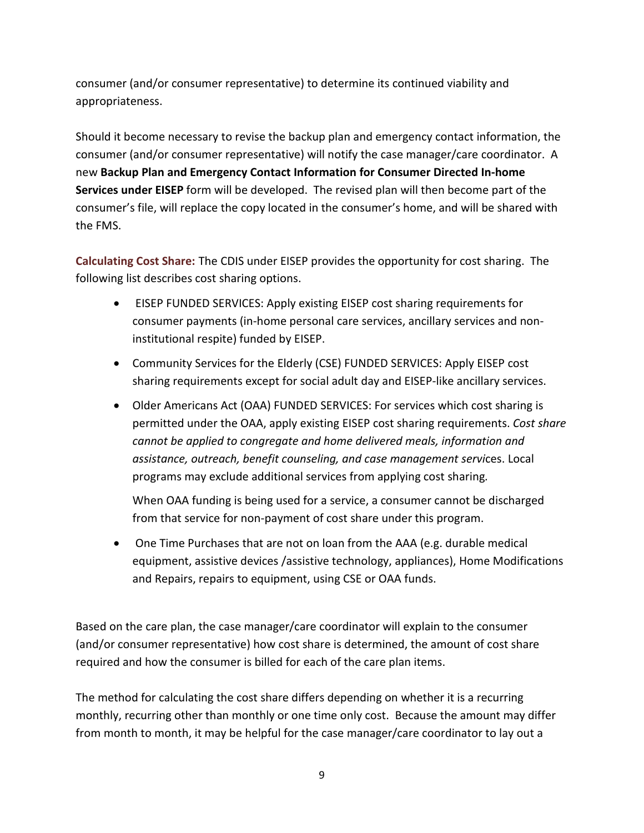consumer (and/or consumer representative) to determine its continued viability and appropriateness.

Should it become necessary to revise the backup plan and emergency contact information, the consumer (and/or consumer representative) will notify the case manager/care coordinator. A new **Backup Plan and Emergency Contact Information for Consumer Directed In-home Services under EISEP** form will be developed. The revised plan will then become part of the consumer's file, will replace the copy located in the consumer's home, and will be shared with the FMS.

**Calculating Cost Share:** The CDIS under EISEP provides the opportunity for cost sharing. The following list describes cost sharing options.

- EISEP FUNDED SERVICES: Apply existing EISEP cost sharing requirements for consumer payments (in-home personal care services, ancillary services and noninstitutional respite) funded by EISEP.
- Community Services for the Elderly (CSE) FUNDED SERVICES: Apply EISEP cost sharing requirements except for social adult day and EISEP-like ancillary services.
- Older Americans Act (OAA) FUNDED SERVICES: For services which cost sharing is permitted under the OAA, apply existing EISEP cost sharing requirements. *Cost share cannot be applied to congregate and home delivered meals, information and assistance, outreach, benefit counseling, and case management servi*ces. Local programs may exclude additional services from applying cost sharing*.*

When OAA funding is being used for a service, a consumer cannot be discharged from that service for non-payment of cost share under this program.

• One Time Purchases that are not on loan from the AAA (e.g. durable medical equipment, assistive devices /assistive technology, appliances), Home Modifications and Repairs, repairs to equipment, using CSE or OAA funds.

Based on the care plan, the case manager/care coordinator will explain to the consumer (and/or consumer representative) how cost share is determined, the amount of cost share required and how the consumer is billed for each of the care plan items.

The method for calculating the cost share differs depending on whether it is a recurring monthly, recurring other than monthly or one time only cost. Because the amount may differ from month to month, it may be helpful for the case manager/care coordinator to lay out a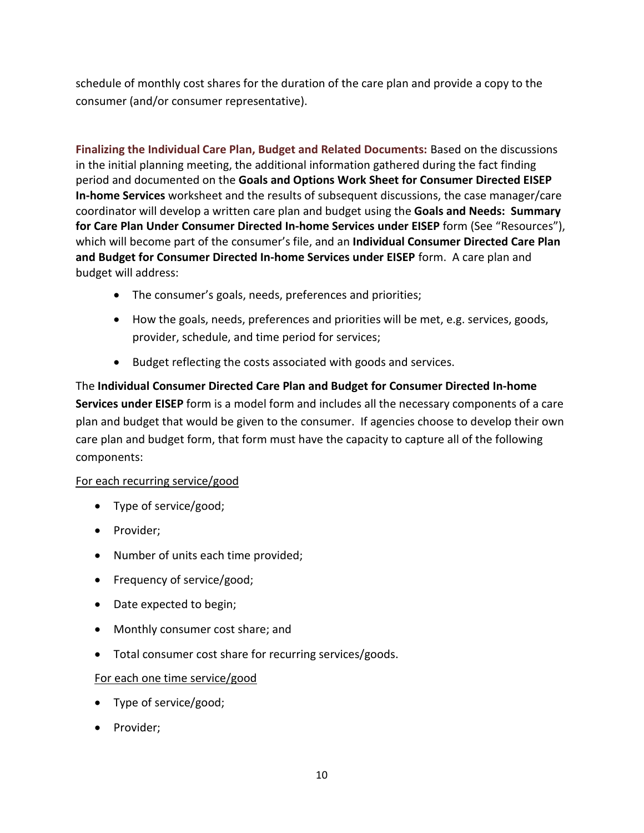schedule of monthly cost shares for the duration of the care plan and provide a copy to the consumer (and/or consumer representative).

**Finalizing the Individual Care Plan, Budget and Related Documents:** Based on the discussions in the initial planning meeting, the additional information gathered during the fact finding period and documented on the **Goals and Options Work Sheet for Consumer Directed EISEP In-home Services** worksheet and the results of subsequent discussions, the case manager/care coordinator will develop a written care plan and budget using the **Goals and Needs: Summary for Care Plan Under Consumer Directed In-home Services under EISEP** form (See "Resources"), which will become part of the consumer's file, and an **Individual Consumer Directed Care Plan and Budget for Consumer Directed In-home Services under EISEP** form. A care plan and budget will address:

- The consumer's goals, needs, preferences and priorities;
- How the goals, needs, preferences and priorities will be met, e.g. services, goods, provider, schedule, and time period for services;
- Budget reflecting the costs associated with goods and services.

The **Individual Consumer Directed Care Plan and Budget for Consumer Directed In-home Services under EISEP** form is a model form and includes all the necessary components of a care plan and budget that would be given to the consumer. If agencies choose to develop their own care plan and budget form, that form must have the capacity to capture all of the following components:

## For each recurring service/good

- Type of service/good;
- Provider;
- Number of units each time provided;
- Frequency of service/good;
- Date expected to begin;
- Monthly consumer cost share; and
- Total consumer cost share for recurring services/goods.

#### For each one time service/good

- Type of service/good;
- Provider;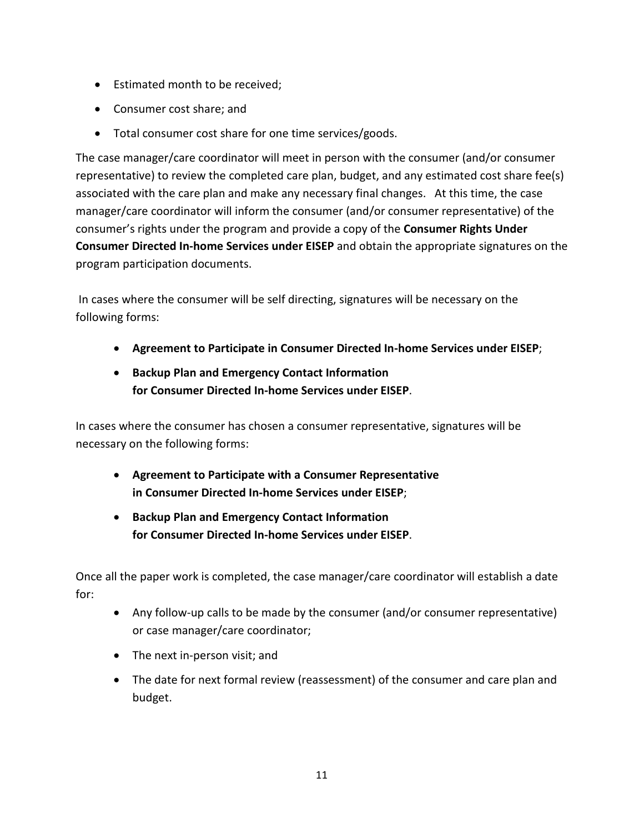- Estimated month to be received;
- Consumer cost share; and
- Total consumer cost share for one time services/goods.

The case manager/care coordinator will meet in person with the consumer (and/or consumer representative) to review the completed care plan, budget, and any estimated cost share fee(s) associated with the care plan and make any necessary final changes. At this time, the case manager/care coordinator will inform the consumer (and/or consumer representative) of the consumer's rights under the program and provide a copy of the **Consumer Rights Under Consumer Directed In-home Services under EISEP** and obtain the appropriate signatures on the program participation documents.

In cases where the consumer will be self directing, signatures will be necessary on the following forms:

- **Agreement to Participate in Consumer Directed In-home Services under EISEP**;
- **Backup Plan and Emergency Contact Information for Consumer Directed In-home Services under EISEP**.

In cases where the consumer has chosen a consumer representative, signatures will be necessary on the following forms:

- **Agreement to Participate with a Consumer Representative in Consumer Directed In-home Services under EISEP**;
- **Backup Plan and Emergency Contact Information for Consumer Directed In-home Services under EISEP**.

Once all the paper work is completed, the case manager/care coordinator will establish a date for:

- Any follow-up calls to be made by the consumer (and/or consumer representative) or case manager/care coordinator;
- The next in-person visit; and
- The date for next formal review (reassessment) of the consumer and care plan and budget.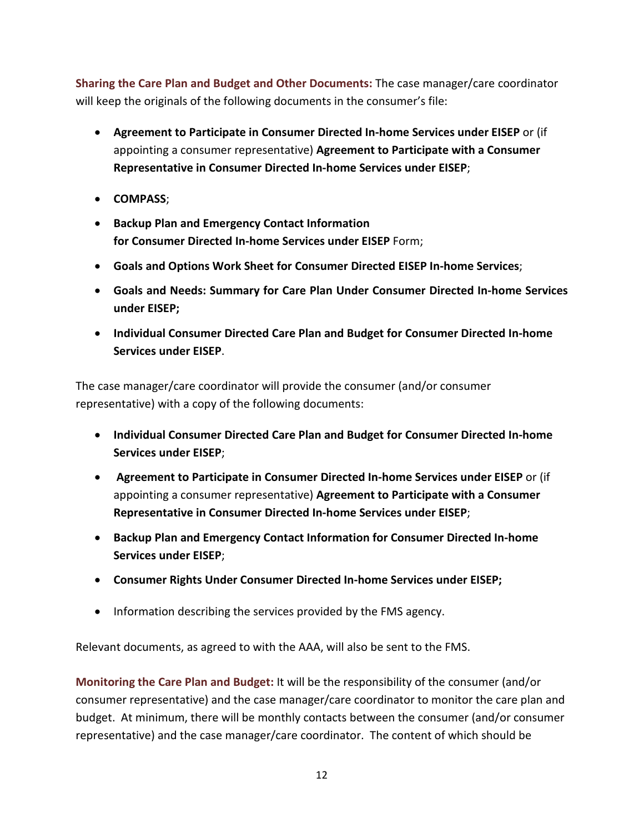**Sharing the Care Plan and Budget and Other Documents:** The case manager/care coordinator will keep the originals of the following documents in the consumer's file:

- **Agreement to Participate in Consumer Directed In-home Services under EISEP** or (if appointing a consumer representative) **Agreement to Participate with a Consumer Representative in Consumer Directed In-home Services under EISEP**;
- **COMPASS**;
- **Backup Plan and Emergency Contact Information for Consumer Directed In-home Services under EISEP** Form;
- **Goals and Options Work Sheet for Consumer Directed EISEP In-home Services**;
- **Goals and Needs: Summary for Care Plan Under Consumer Directed In-home Services under EISEP;**
- **Individual Consumer Directed Care Plan and Budget for Consumer Directed In-home Services under EISEP**.

The case manager/care coordinator will provide the consumer (and/or consumer representative) with a copy of the following documents:

- **Individual Consumer Directed Care Plan and Budget for Consumer Directed In-home Services under EISEP**;
- **Agreement to Participate in Consumer Directed In-home Services under EISEP** or (if appointing a consumer representative) **Agreement to Participate with a Consumer Representative in Consumer Directed In-home Services under EISEP**;
- **Backup Plan and Emergency Contact Information for Consumer Directed In-home Services under EISEP**;
- **Consumer Rights Under Consumer Directed In-home Services under EISEP;**
- Information describing the services provided by the FMS agency.

Relevant documents, as agreed to with the AAA, will also be sent to the FMS.

**Monitoring the Care Plan and Budget:** It will be the responsibility of the consumer (and/or consumer representative) and the case manager/care coordinator to monitor the care plan and budget. At minimum, there will be monthly contacts between the consumer (and/or consumer representative) and the case manager/care coordinator. The content of which should be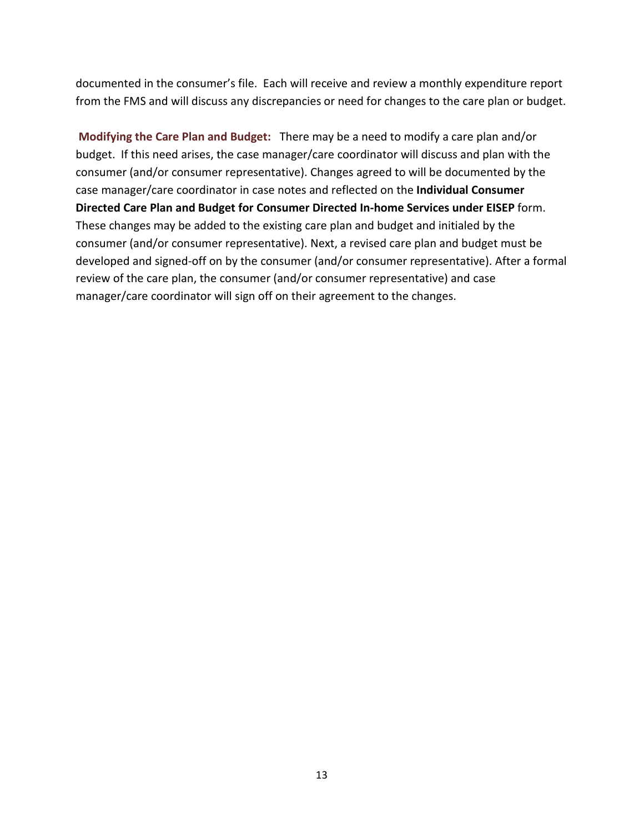documented in the consumer's file. Each will receive and review a monthly expenditure report from the FMS and will discuss any discrepancies or need for changes to the care plan or budget.

**Modifying the Care Plan and Budget:** There may be a need to modify a care plan and/or budget.If this need arises, the case manager/care coordinator will discuss and plan with the consumer (and/or consumer representative). Changes agreed to will be documented by the case manager/care coordinator in case notes and reflected on the **Individual Consumer Directed Care Plan and Budget for Consumer Directed In-home Services under EISEP** form. These changes may be added to the existing care plan and budget and initialed by the consumer (and/or consumer representative). Next, a revised care plan and budget must be developed and signed-off on by the consumer (and/or consumer representative). After a formal review of the care plan, the consumer (and/or consumer representative) and case manager/care coordinator will sign off on their agreement to the changes.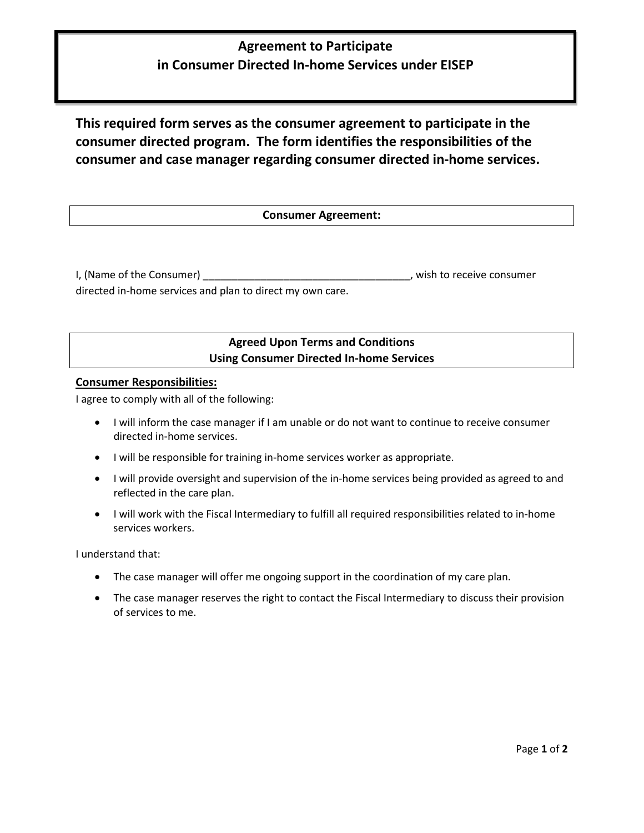# **Agreement to Participate in Consumer Directed In-home Services under EISEP**

**This required form serves as the consumer agreement to participate in the consumer directed program. The form identifies the responsibilities of the consumer and case manager regarding consumer directed in-home services.**

#### **Consumer Agreement:**

I, (Name of the Consumer) and the Consumer consumer and the set of the Consumer consumer consumer consumer consumer

directed in-home services and plan to direct my own care.

### **Agreed Upon Terms and Conditions Using Consumer Directed In-home Services**

#### **Consumer Responsibilities:**

I agree to comply with all of the following:

- I will inform the case manager if I am unable or do not want to continue to receive consumer directed in-home services.
- I will be responsible for training in-home services worker as appropriate.
- I will provide oversight and supervision of the in-home services being provided as agreed to and reflected in the care plan.
- I will work with the Fiscal Intermediary to fulfill all required responsibilities related to in-home services workers.

I understand that:

- The case manager will offer me ongoing support in the coordination of my care plan.
- The case manager reserves the right to contact the Fiscal Intermediary to discuss their provision of services to me.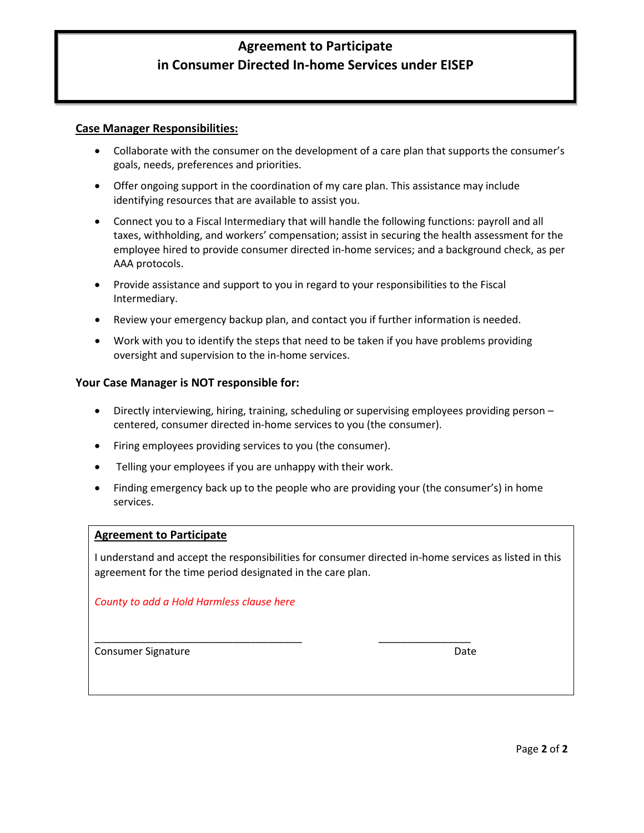# **Agreement to Participate in Consumer Directed In-home Services under EISEP**

#### **Case Manager Responsibilities:**

- Collaborate with the consumer on the development of a care plan that supports the consumer's goals, needs, preferences and priorities.
- Offer ongoing support in the coordination of my care plan. This assistance may include identifying resources that are available to assist you.
- Connect you to a Fiscal Intermediary that will handle the following functions: payroll and all taxes, withholding, and workers' compensation; assist in securing the health assessment for the employee hired to provide consumer directed in-home services; and a background check, as per AAA protocols.
- Provide assistance and support to you in regard to your responsibilities to the Fiscal Intermediary.
- Review your emergency backup plan, and contact you if further information is needed.
- Work with you to identify the steps that need to be taken if you have problems providing oversight and supervision to the in-home services.

#### **Your Case Manager is NOT responsible for:**

- Directly interviewing, hiring, training, scheduling or supervising employees providing person centered, consumer directed in-home services to you (the consumer).
- Firing employees providing services to you (the consumer).
- Telling your employees if you are unhappy with their work.
- Finding emergency back up to the people who are providing your (the consumer's) in home services.

#### **Agreement to Participate**

I understand and accept the responsibilities for consumer directed in-home services as listed in this agreement for the time period designated in the care plan.

 $\_$  , and the set of the set of the set of the set of the set of the set of the set of the set of the set of the set of the set of the set of the set of the set of the set of the set of the set of the set of the set of th

#### *County to add a Hold Harmless clause here*

Consumer Signature **Date** Date of Consumer Signature **Date**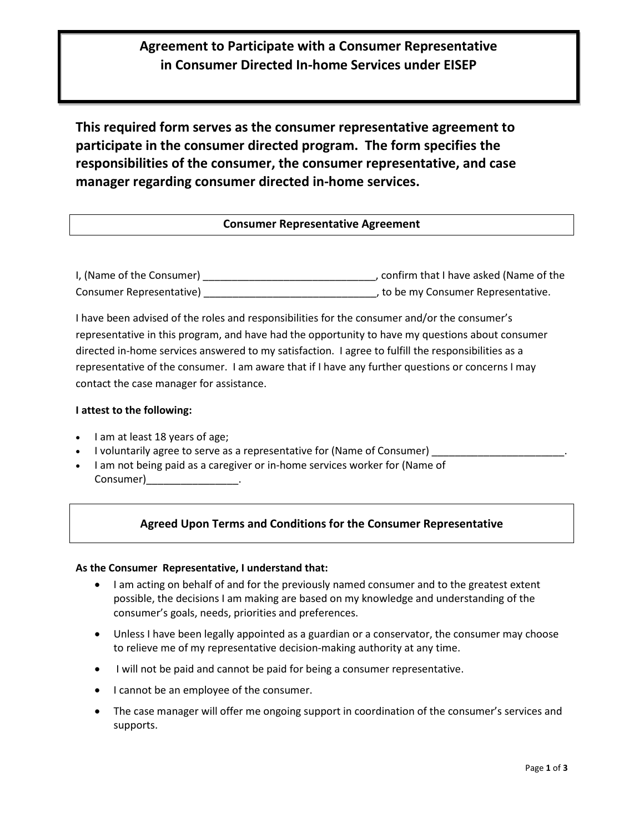## **Agreement to Participate with a Consumer Representative in Consumer Directed In-home Services under EISEP**

**This required form serves as the consumer representative agreement to participate in the consumer directed program. The form specifies the responsibilities of the consumer, the consumer representative, and case manager regarding consumer directed in-home services.**

#### **Consumer Representative Agreement**

I, (Name of the Consumer) \_\_\_\_\_\_\_\_\_\_\_\_\_\_\_\_\_\_\_\_\_\_\_\_\_\_\_\_\_\_, confirm that I have asked (Name of the Consumer Representative) \_\_\_\_\_\_\_\_\_\_\_\_\_\_\_\_\_\_\_\_\_\_\_\_\_\_\_\_\_\_, to be my Consumer Representative.

I have been advised of the roles and responsibilities for the consumer and/or the consumer's representative in this program, and have had the opportunity to have my questions about consumer directed in-home services answered to my satisfaction. I agree to fulfill the responsibilities as a representative of the consumer. I am aware that if I have any further questions or concerns I may contact the case manager for assistance.

#### **I attest to the following:**

- I am at least 18 years of age;
- I voluntarily agree to serve as a representative for (Name of Consumer)
- I am not being paid as a caregiver or in-home services worker for (Name of Consumer)\_\_\_\_\_\_\_\_\_\_\_\_\_\_\_\_.

#### **Agreed Upon Terms and Conditions for the Consumer Representative**

#### **As the Consumer Representative, I understand that:**

- I am acting on behalf of and for the previously named consumer and to the greatest extent possible, the decisions I am making are based on my knowledge and understanding of the consumer's goals, needs, priorities and preferences.
- Unless I have been legally appointed as a guardian or a conservator, the consumer may choose to relieve me of my representative decision-making authority at any time.
- I will not be paid and cannot be paid for being a consumer representative.
- I cannot be an employee of the consumer.
- The case manager will offer me ongoing support in coordination of the consumer's services and supports.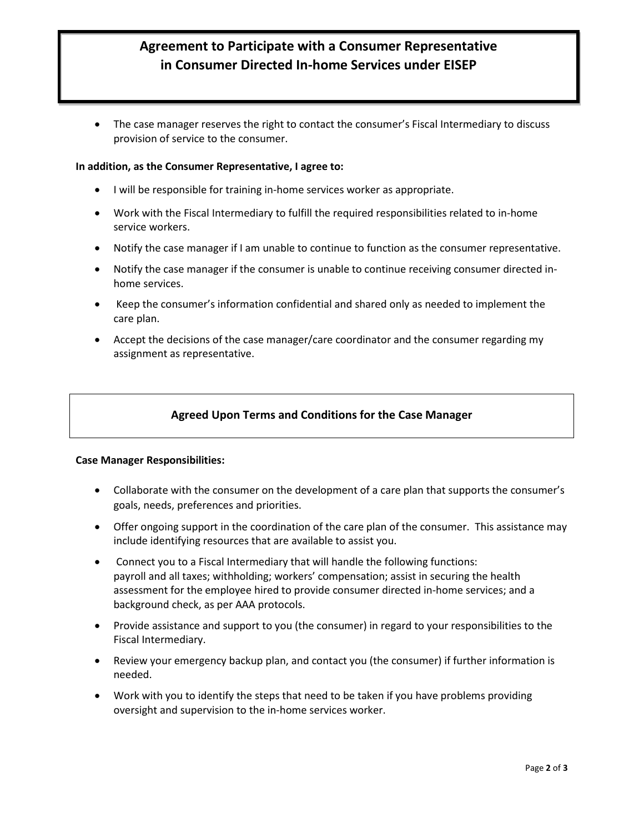# **Agreement to Participate with a Consumer Representative in Consumer Directed In-home Services under EISEP**

• The case manager reserves the right to contact the consumer's Fiscal Intermediary to discuss provision of service to the consumer.

#### **In addition, as the Consumer Representative, I agree to:**

- I will be responsible for training in-home services worker as appropriate.
- Work with the Fiscal Intermediary to fulfill the required responsibilities related to in-home service workers.
- Notify the case manager if I am unable to continue to function as the consumer representative.
- Notify the case manager if the consumer is unable to continue receiving consumer directed inhome services.
- Keep the consumer's information confidential and shared only as needed to implement the care plan.
- Accept the decisions of the case manager/care coordinator and the consumer regarding my assignment as representative.

#### **Agreed Upon Terms and Conditions for the Case Manager**

#### **Case Manager Responsibilities:**

- Collaborate with the consumer on the development of a care plan that supports the consumer's goals, needs, preferences and priorities.
- Offer ongoing support in the coordination of the care plan of the consumer. This assistance may include identifying resources that are available to assist you.
- Connect you to a Fiscal Intermediary that will handle the following functions: payroll and all taxes; withholding; workers' compensation; assist in securing the health assessment for the employee hired to provide consumer directed in-home services; and a background check, as per AAA protocols.
- Provide assistance and support to you (the consumer) in regard to your responsibilities to the Fiscal Intermediary.
- Review your emergency backup plan, and contact you (the consumer) if further information is needed.
- Work with you to identify the steps that need to be taken if you have problems providing oversight and supervision to the in-home services worker.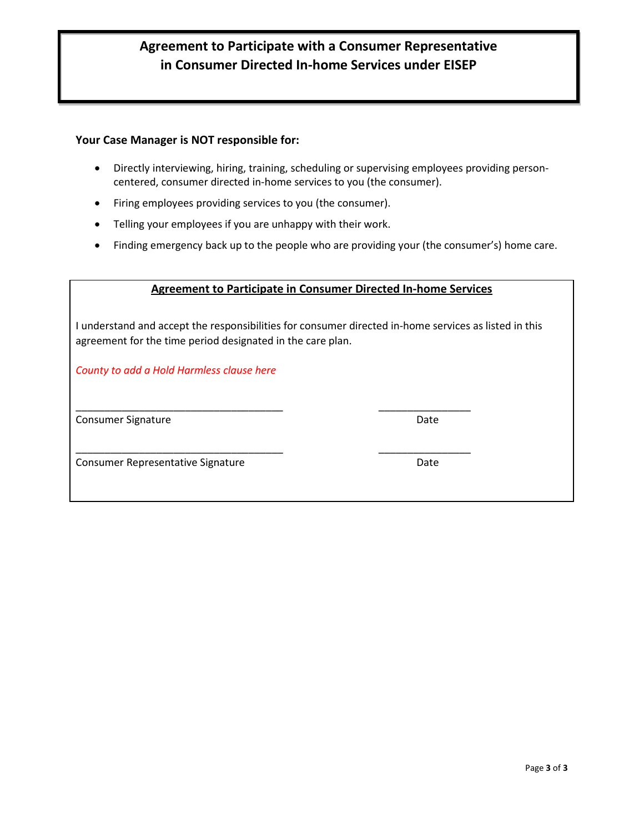# **Agreement to Participate with a Consumer Representative in Consumer Directed In-home Services under EISEP**

#### **Your Case Manager is NOT responsible for:**

- Directly interviewing, hiring, training, scheduling or supervising employees providing personcentered, consumer directed in-home services to you (the consumer).
- Firing employees providing services to you (the consumer).
- Telling your employees if you are unhappy with their work.
- Finding emergency back up to the people who are providing your (the consumer's) home care.

#### **Agreement to Participate in Consumer Directed In-home Services**

I understand and accept the responsibilities for consumer directed in-home services as listed in this agreement for the time period designated in the care plan.

*County to add a Hold Harmless clause here*

Consumer Signature **Date** Date of Consumer Signature **Date** 

Consumer Representative Signature **Consumer Representative Signature** Date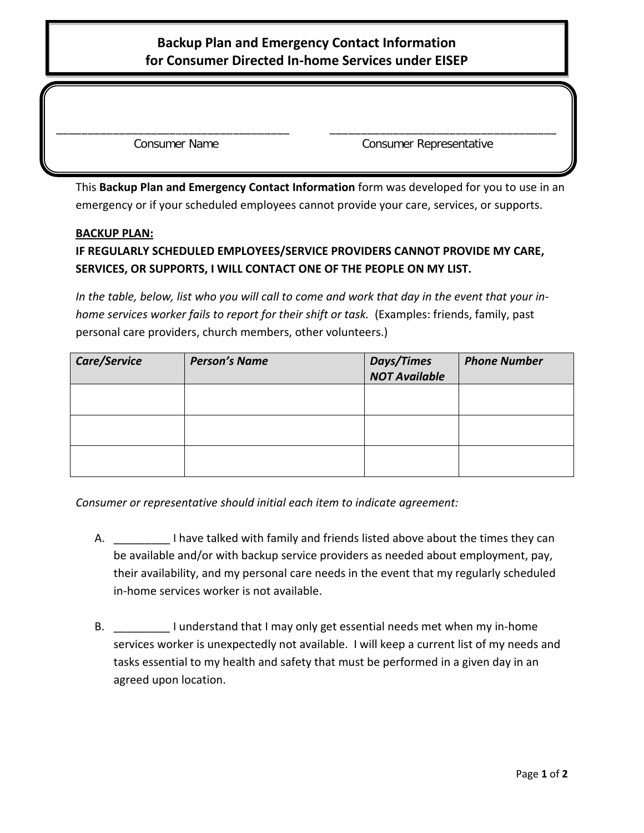# **Backup Plan and Emergency Contact Information for Consumer Directed In-home Services under EISEP**

\_\_\_\_\_\_\_\_\_\_\_\_\_\_\_\_\_\_\_\_\_\_\_\_\_\_\_\_\_\_\_\_\_\_\_\_\_ \_\_\_\_\_\_\_\_\_\_\_\_\_\_\_\_\_\_\_\_\_\_\_\_\_\_\_\_\_\_\_\_\_\_\_\_

Consumer Name Consumer Representative

This **Backup Plan and Emergency Contact Information** form was developed for you to use in an emergency or if your scheduled employees cannot provide your care, services, or supports.

#### **BACKUP PLAN:**

# **IF REGULARLY SCHEDULED EMPLOYEES/SERVICE PROVIDERS CANNOT PROVIDE MY CARE, SERVICES, OR SUPPORTS, I WILL CONTACT ONE OF THE PEOPLE ON MY LIST.**

*In the table, below, list who you will call to come and work that day in the event that your inhome services worker fails to report for their shift or task.* (Examples: friends, family, past personal care providers, church members, other volunteers.)

| Care/Service | <b>Person's Name</b> | <b>Days/Times</b><br><b>NOT Available</b> | <b>Phone Number</b> |
|--------------|----------------------|-------------------------------------------|---------------------|
|              |                      |                                           |                     |
|              |                      |                                           |                     |
|              |                      |                                           |                     |

*Consumer or representative should initial each item to indicate agreement:*

- A. **I** have talked with family and friends listed above about the times they can be available and/or with backup service providers as needed about employment, pay, their availability, and my personal care needs in the event that my regularly scheduled in-home services worker is not available.
- B. \_\_\_\_\_\_\_\_\_ I understand that I may only get essential needs met when my in-home services worker is unexpectedly not available. I will keep a current list of my needs and tasks essential to my health and safety that must be performed in a given day in an agreed upon location.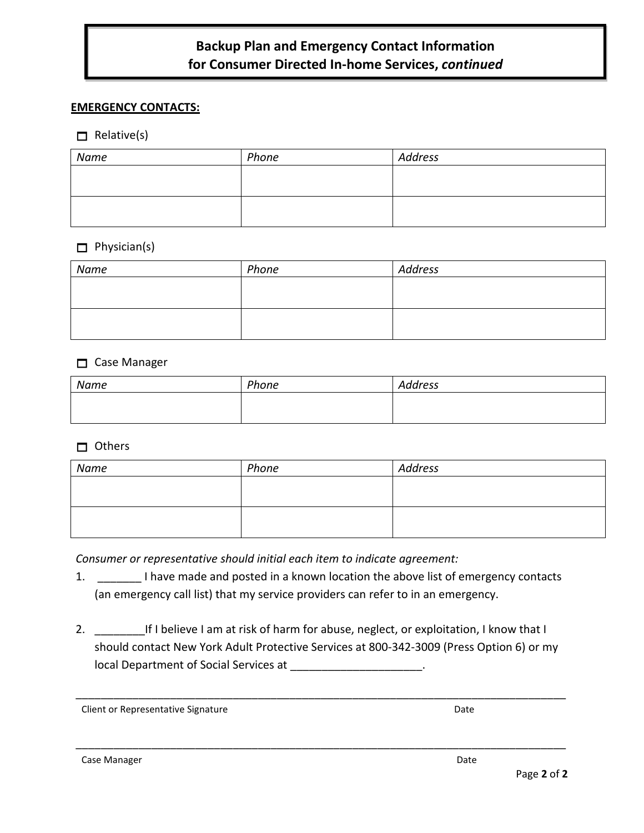# **Backup Plan and Emergency Contact Information for Consumer Directed In-home Services,** *continued*

#### **EMERGENCY CONTACTS:**

#### $\Box$  Relative(s)

| Name | Phone | <b>Address</b> |
|------|-------|----------------|
|      |       |                |
|      |       |                |
|      |       |                |
|      |       |                |

#### $\Box$  Physician(s)

| Name | Phone | Address |
|------|-------|---------|
|      |       |         |
|      |       |         |
|      |       |         |
|      |       |         |

#### □ Case Manager

| Name | Phone | Address |
|------|-------|---------|
|      |       |         |
|      |       |         |

#### Others

| Name | Phone | <b>Address</b> |
|------|-------|----------------|
|      |       |                |
|      |       |                |
|      |       |                |
|      |       |                |

*Consumer or representative should initial each item to indicate agreement:*

- 1. \_\_\_\_\_\_\_ I have made and posted in a known location the above list of emergency contacts (an emergency call list) that my service providers can refer to in an emergency.
- 2. \_\_\_\_\_\_\_\_\_\_\_\_\_\_If I believe I am at risk of harm for abuse, neglect, or exploitation, I know that I should contact New York Adult Protective Services at 800-342-3009 (Press Option 6) or my local Department of Social Services at \_\_\_\_\_\_\_\_\_\_\_\_\_\_\_\_\_\_\_\_\_.

\_\_\_\_\_\_\_\_\_\_\_\_\_\_\_\_\_\_\_\_\_\_\_\_\_\_\_\_\_\_\_\_\_\_\_\_\_\_\_\_\_\_\_\_\_\_\_\_\_\_\_\_\_\_\_\_\_\_\_\_\_\_\_\_\_\_\_\_\_\_\_\_\_\_\_\_\_\_

Client or Representative Signature **Date** Date of Passachusetts and Date Date

Case Manager Date Case Manager Date Case Manager and Case Manager and Case Manager and Case On the Case of the Case of the Case of the Case of the Case of the Case of the Case of the Case of the Case of the Case of the Cas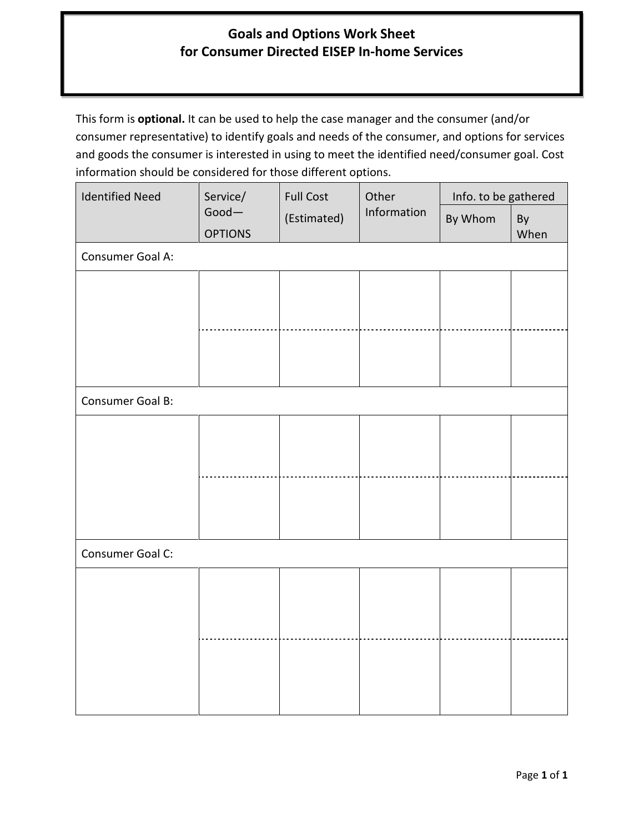# **Goals and Options Work Sheet for Consumer Directed EISEP In-home Services**

This form is **optional.** It can be used to help the case manager and the consumer (and/or consumer representative) to identify goals and needs of the consumer, and options for services and goods the consumer is interested in using to meet the identified need/consumer goal. Cost information should be considered for those different options.

| <b>Identified Need</b> | Service/                   | <b>Full Cost</b> | Other       | Info. to be gathered |            |
|------------------------|----------------------------|------------------|-------------|----------------------|------------|
|                        | $Good -$<br><b>OPTIONS</b> | (Estimated)      | Information | By Whom              | By<br>When |
| Consumer Goal A:       |                            |                  |             |                      |            |
|                        |                            |                  |             |                      |            |
|                        |                            |                  |             |                      |            |
|                        |                            |                  |             |                      |            |
|                        |                            |                  |             |                      |            |
| Consumer Goal B:       |                            |                  |             |                      |            |
|                        |                            |                  |             |                      |            |
|                        |                            |                  |             |                      |            |
|                        |                            |                  |             |                      |            |
|                        |                            |                  |             |                      |            |
|                        |                            |                  |             |                      |            |
| Consumer Goal C:       |                            |                  |             |                      |            |
|                        |                            |                  |             |                      |            |
|                        |                            |                  |             |                      |            |
|                        |                            |                  |             |                      |            |
|                        |                            |                  |             |                      |            |
|                        |                            |                  |             |                      |            |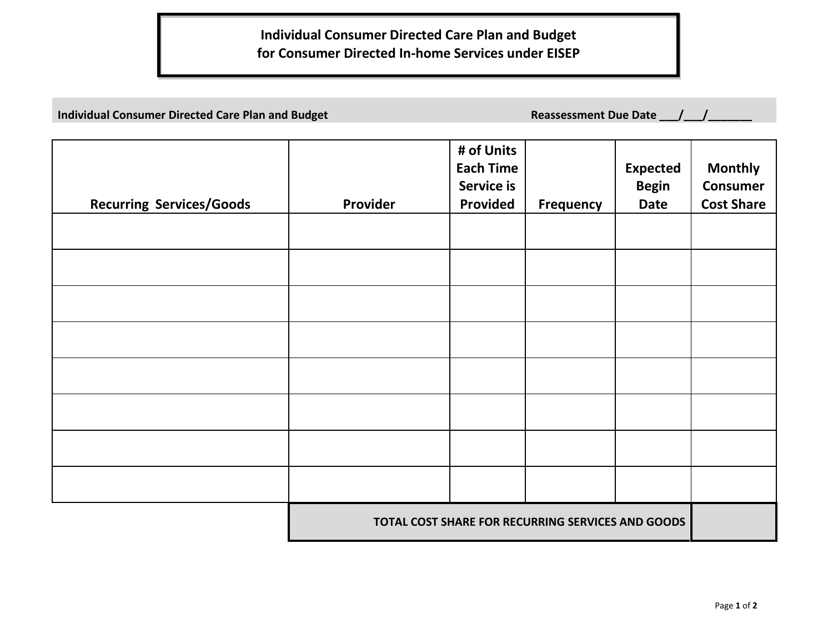# **Individual Consumer Directed Care Plan and Budget for Consumer Directed In-home Services under EISEP**

**Individual Consumer Directed Care Plan and Budget Reassessment Due Date \_\_\_/\_\_\_/\_\_** 

| <b>Recurring Services/Goods</b> | Provider                                          | # of Units<br><b>Each Time</b><br>Service is<br><b>Provided</b> | <b>Frequency</b> | <b>Expected</b><br><b>Begin</b><br><b>Date</b> | <b>Monthly</b><br><b>Consumer</b><br><b>Cost Share</b> |
|---------------------------------|---------------------------------------------------|-----------------------------------------------------------------|------------------|------------------------------------------------|--------------------------------------------------------|
|                                 |                                                   |                                                                 |                  |                                                |                                                        |
|                                 |                                                   |                                                                 |                  |                                                |                                                        |
|                                 |                                                   |                                                                 |                  |                                                |                                                        |
|                                 |                                                   |                                                                 |                  |                                                |                                                        |
|                                 |                                                   |                                                                 |                  |                                                |                                                        |
|                                 |                                                   |                                                                 |                  |                                                |                                                        |
|                                 |                                                   |                                                                 |                  |                                                |                                                        |
|                                 | TOTAL COST SHARE FOR RECURRING SERVICES AND GOODS |                                                                 |                  |                                                |                                                        |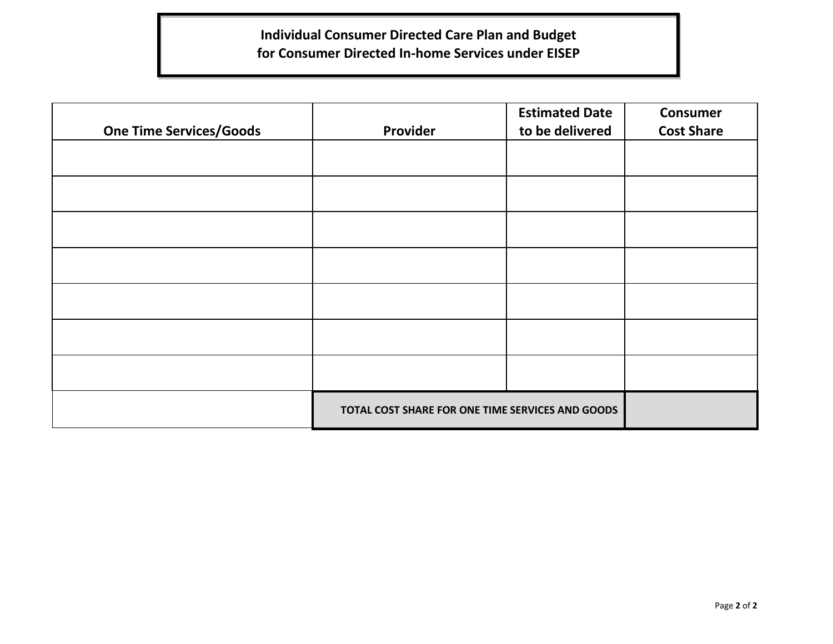# **Individual Consumer Directed Care Plan and Budget for Consumer Directed In-home Services under EISEP**

| <b>One Time Services/Goods</b> | Provider                                         | <b>Estimated Date</b><br>to be delivered | <b>Consumer</b><br><b>Cost Share</b> |
|--------------------------------|--------------------------------------------------|------------------------------------------|--------------------------------------|
|                                |                                                  |                                          |                                      |
|                                |                                                  |                                          |                                      |
|                                |                                                  |                                          |                                      |
|                                |                                                  |                                          |                                      |
|                                |                                                  |                                          |                                      |
|                                |                                                  |                                          |                                      |
|                                |                                                  |                                          |                                      |
|                                | TOTAL COST SHARE FOR ONE TIME SERVICES AND GOODS |                                          |                                      |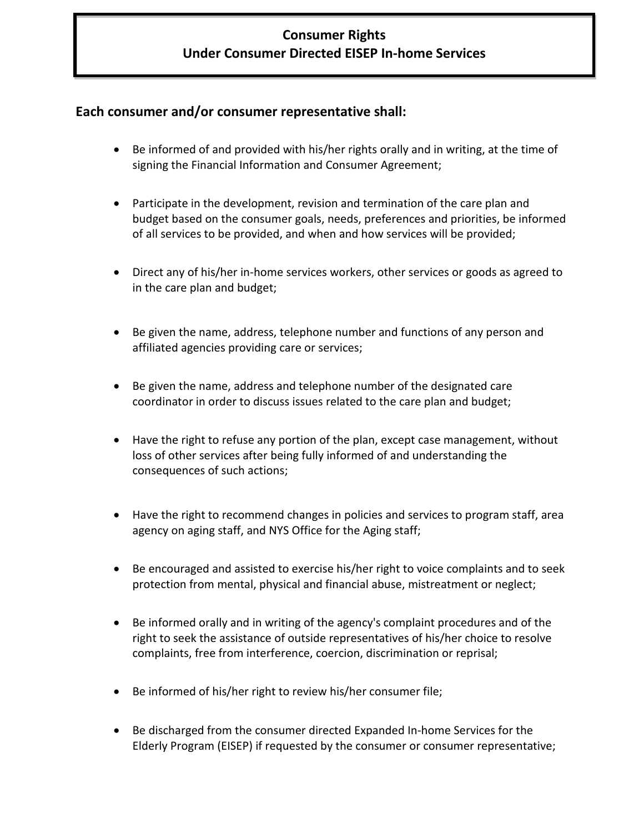# **Consumer Rights Under Consumer Directed EISEP In-home Services**

# **Each consumer and/or consumer representative shall:**

- Be informed of and provided with his/her rights orally and in writing, at the time of signing the Financial Information and Consumer Agreement;
- Participate in the development, revision and termination of the care plan and budget based on the consumer goals, needs, preferences and priorities, be informed of all services to be provided, and when and how services will be provided;
- Direct any of his/her in-home services workers, other services or goods as agreed to in the care plan and budget;
- Be given the name, address, telephone number and functions of any person and affiliated agencies providing care or services;
- Be given the name, address and telephone number of the designated care coordinator in order to discuss issues related to the care plan and budget;
- Have the right to refuse any portion of the plan, except case management, without loss of other services after being fully informed of and understanding the consequences of such actions;
- Have the right to recommend changes in policies and services to program staff, area agency on aging staff, and NYS Office for the Aging staff;
- Be encouraged and assisted to exercise his/her right to voice complaints and to seek protection from mental, physical and financial abuse, mistreatment or neglect;
- Be informed orally and in writing of the agency's complaint procedures and of the right to seek the assistance of outside representatives of his/her choice to resolve complaints, free from interference, coercion, discrimination or reprisal;
- Be informed of his/her right to review his/her consumer file;
- Be discharged from the consumer directed Expanded In-home Services for the Elderly Program (EISEP) if requested by the consumer or consumer representative;